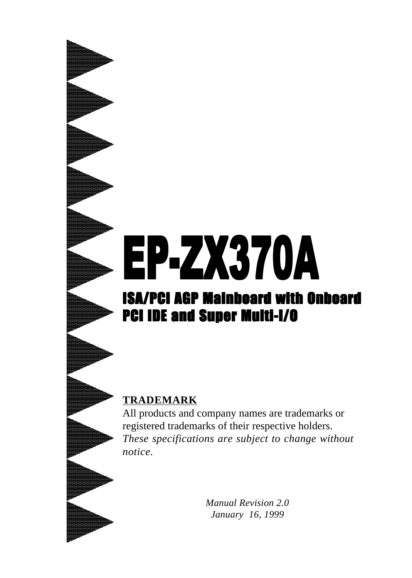# **EP-ZX370A ISA/PCI AGP Mainboard with Oni** PCI IDE and Super Multi-I/O

### **TRADEMARK**

All products and company names are trademarks or registered trademarks of their respective holders. *These specifications are subject to change without notice.*

> *Manual Revision 2.0 January 16, 1999*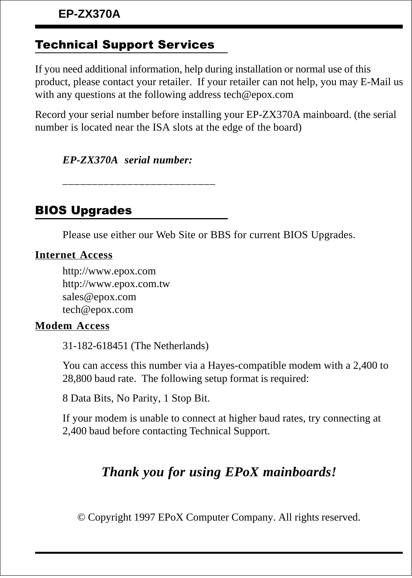### Technical Support Services

If you need additional information, help during installation or normal use of this product, please contact your retailer. If your retailer can not help, you may E-Mail us with any questions at the following address tech@epox.com

Record your serial number before installing your EP-ZX370A mainboard. (the serial number is located near the ISA slots at the edge of the board)

*EP-ZX370A serial number:*

\_\_\_\_\_\_\_\_\_\_\_\_\_\_\_\_\_\_\_\_\_\_\_\_\_\_

### BIOS Upgrades

Please use either our Web Site or BBS for current BIOS Upgrades.

### **Internet Access**

http://www.epox.com http://www.epox.com.tw sales@epox.com tech@epox.com

### **Modem Access**

31-182-618451 (The Netherlands)

You can access this number via a Hayes-compatible modem with a 2,400 to 28,800 baud rate. The following setup format is required:

8 Data Bits, No Parity, 1 Stop Bit.

If your modem is unable to connect at higher baud rates, try connecting at 2,400 baud before contacting Technical Support.

# *Thank you for using EPoX mainboards!*

© Copyright 1997 EPoX Computer Company. All rights reserved.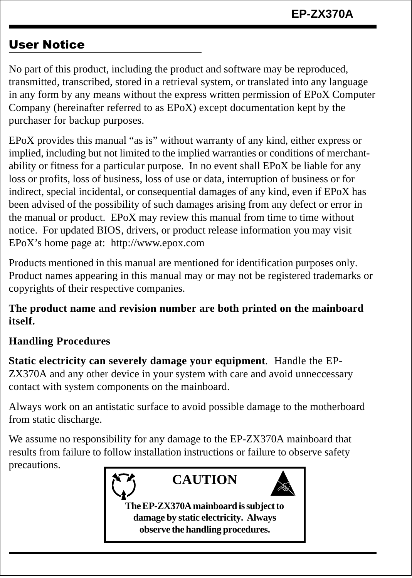### User Notice

No part of this product, including the product and software may be reproduced, transmitted, transcribed, stored in a retrieval system, or translated into any language in any form by any means without the express written permission of EPoX Computer Company (hereinafter referred to as EPoX) except documentation kept by the purchaser for backup purposes.

EPoX provides this manual "as is" without warranty of any kind, either express or implied, including but not limited to the implied warranties or conditions of merchantability or fitness for a particular purpose. In no event shall EPoX be liable for any loss or profits, loss of business, loss of use or data, interruption of business or for indirect, special incidental, or consequential damages of any kind, even if EPoX has been advised of the possibility of such damages arising from any defect or error in the manual or product. EPoX may review this manual from time to time without notice. For updated BIOS, drivers, or product release information you may visit EPoX's home page at: http://www.epox.com

Products mentioned in this manual are mentioned for identification purposes only. Product names appearing in this manual may or may not be registered trademarks or copyrights of their respective companies.

### **The product name and revision number are both printed on the mainboard itself.**

### **Handling Procedures**

**Static electricity can severely damage your equipment**. Handle the EP-ZX370A and any other device in your system with care and avoid unneccessary contact with system components on the mainboard.

Always work on an antistatic surface to avoid possible damage to the motherboard from static discharge.

We assume no responsibility for any damage to the EP-ZX370A mainboard that results from failure to follow installation instructions or failure to observe safety precautions.

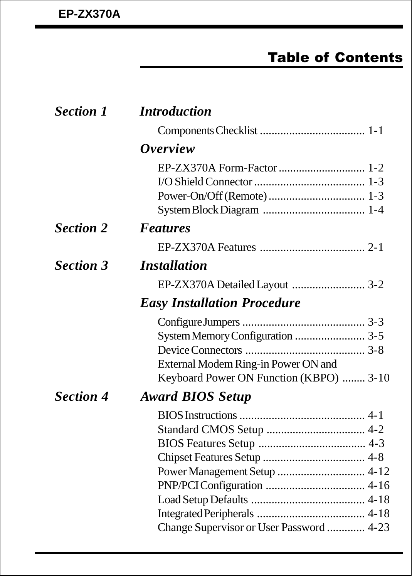# Table of Contents

| <b>Section 1</b> | <i><b>Introduction</b></i>                                                     |
|------------------|--------------------------------------------------------------------------------|
|                  |                                                                                |
|                  | Overview                                                                       |
|                  |                                                                                |
| <b>Section 2</b> | <b>Features</b>                                                                |
|                  |                                                                                |
| <b>Section 3</b> | <i><b>Installation</b></i>                                                     |
|                  |                                                                                |
|                  | <b>Easy Installation Procedure</b>                                             |
|                  | External Modem Ring-in Power ON and<br>Keyboard Power ON Function (KBPO)  3-10 |
| <b>Section 4</b> | <b>Award BIOS Setup</b>                                                        |
|                  | Change Supervisor or User Password  4-23                                       |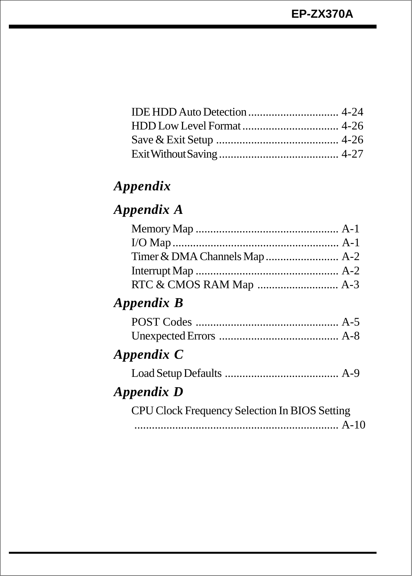# *Appendix*

# *Appendix A*

| Appendix B                                           |  |
|------------------------------------------------------|--|
|                                                      |  |
|                                                      |  |
| Appendix C                                           |  |
|                                                      |  |
| Appendix D                                           |  |
| <b>CPU Clock Frequency Selection In BIOS Setting</b> |  |
|                                                      |  |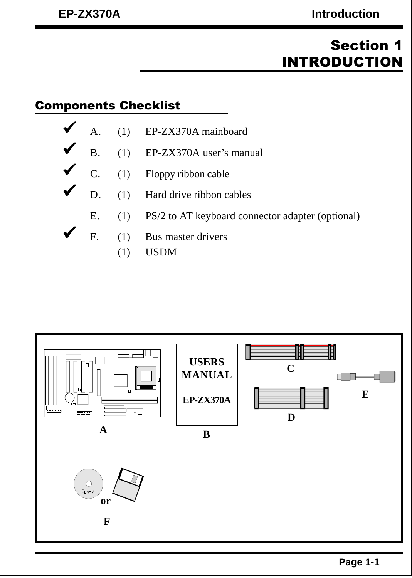# Section 1 INTRODUCTION

### Components Checklist

- ü A. (1) EP-ZX370A mainboard
- B. (1) EP-ZX370A user's manual
- C. (1) Floppy ribbon cable
- D. (1) Hard drive ribbon cables
	- E. (1) PS/2 to AT keyboard connector adapter (optional)
	- F. (1) Bus master drivers
		- (1) USDM

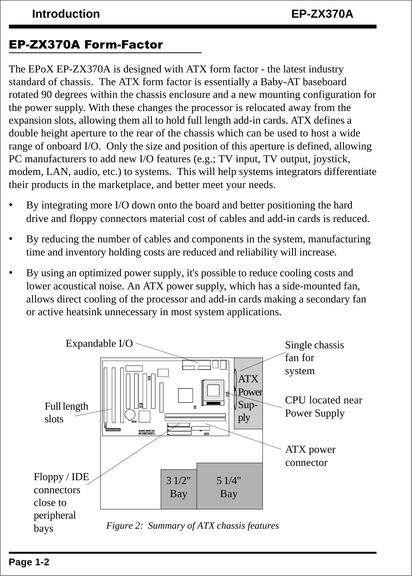### EP-ZX370A Form-Factor

The EPoX EP-ZX370A is designed with ATX form factor - the latest industry standard of chassis. The ATX form factor is essentially a Baby-AT baseboard rotated 90 degrees within the chassis enclosure and a new mounting configuration for the power supply. With these changes the processor is relocated away from the expansion slots, allowing them all to hold full length add-in cards. ATX defines a double height aperture to the rear of the chassis which can be used to host a wide range of onboard I/O. Only the size and position of this aperture is defined, allowing PC manufacturers to add new I/O features (e.g.; TV input, TV output, joystick, modem, LAN, audio, etc.) to systems. This will help systems integrators differentiate their products in the marketplace, and better meet your needs.

- By integrating more I/O down onto the board and better positioning the hard drive and floppy connectors material cost of cables and add-in cards is reduced.
- By reducing the number of cables and components in the system, manufacturing time and inventory holding costs are reduced and reliability will increase.
- By using an optimized power supply, it's possible to reduce cooling costs and lower acoustical noise. An ATX power supply, which has a side-mounted fan, allows direct cooling of the processor and add-in cards making a secondary fan or active heatsink unnecessary in most system applications.

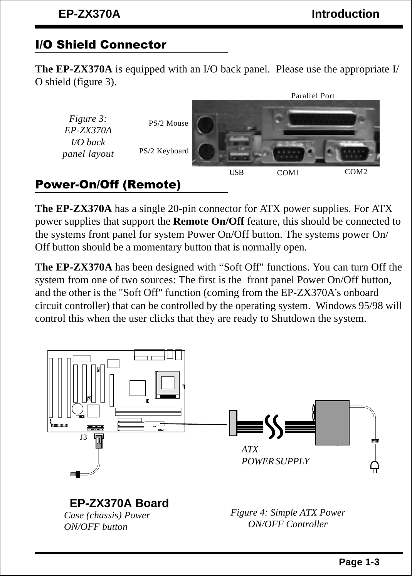### I/O Shield Connector

**The EP-ZX370A** is equipped with an I/O back panel. Please use the appropriate I/ O shield (figure 3).



### Power-On/Off (Remote)

**The EP-ZX370A** has a single 20-pin connector for ATX power supplies. For ATX power supplies that support the **Remote On/Off** feature, this should be connected to the systems front panel for system Power On/Off button. The systems power On/ Off button should be a momentary button that is normally open.

**The EP-ZX370A** has been designed with "Soft Off" functions. You can turn Off the system from one of two sources: The first is the front panel Power On/Off button, and the other is the "Soft Off" function (coming from the EP-ZX370A's onboard circuit controller) that can be controlled by the operating system. Windows 95/98 will control this when the user clicks that they are ready to Shutdown the system.

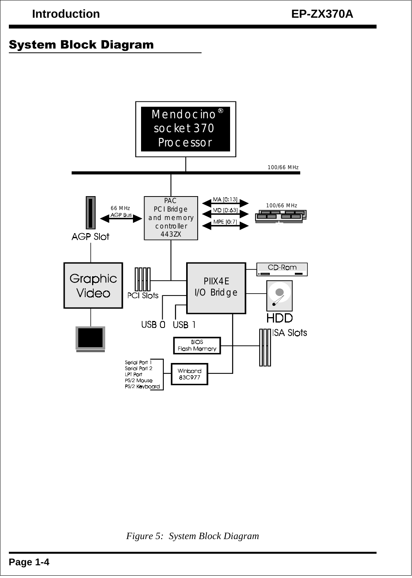### System Block Diagram



*Figure 5: System Block Diagram*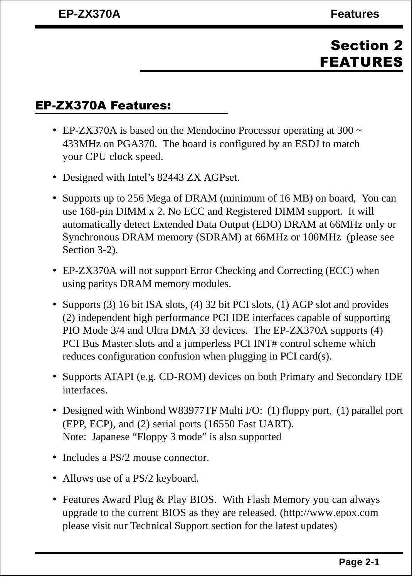# Section 2 FEATURES

### EP-ZX370A Features:

- EP-ZX370A is based on the Mendocino Processor operating at 300 ~ 433MHz on PGA370. The board is configured by an ESDJ to match your CPU clock speed.
- Designed with Intel's 82443 ZX AGPset.
- Supports up to 256 Mega of DRAM (minimum of 16 MB) on board, You can use 168-pin DIMM x 2. No ECC and Registered DIMM support. It will automatically detect Extended Data Output (EDO) DRAM at 66MHz only or Synchronous DRAM memory (SDRAM) at 66MHz or 100MHz (please see Section 3-2).
- EP-ZX370A will not support Error Checking and Correcting (ECC) when using paritys DRAM memory modules.
- Supports (3) 16 bit ISA slots, (4) 32 bit PCI slots, (1) AGP slot and provides (2) independent high performance PCI IDE interfaces capable of supporting PIO Mode 3/4 and Ultra DMA 33 devices. The EP-ZX370A supports (4) PCI Bus Master slots and a jumperless PCI INT# control scheme which reduces configuration confusion when plugging in PCI card(s).
- Supports ATAPI (e.g. CD-ROM) devices on both Primary and Secondary IDE interfaces.
- Designed with Winbond W83977TF Multi I/O: (1) floppy port, (1) parallel port (EPP, ECP), and (2) serial ports (16550 Fast UART). Note: Japanese "Floppy 3 mode" is also supported
- Includes a PS/2 mouse connector.
- Allows use of a PS/2 keyboard.
- Features Award Plug & Play BIOS. With Flash Memory you can always upgrade to the current BIOS as they are released. (http://www.epox.com please visit our Technical Support section for the latest updates)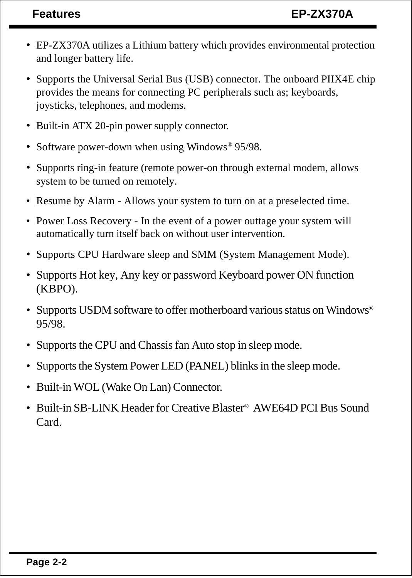- EP-ZX370A utilizes a Lithium battery which provides environmental protection and longer battery life.
- Supports the Universal Serial Bus (USB) connector. The onboard PIIX4E chip provides the means for connecting PC peripherals such as; keyboards, joysticks, telephones, and modems.
- Built-in ATX 20-pin power supply connector.
- Software power-down when using Windows<sup>®</sup> 95/98.
- Supports ring-in feature (remote power-on through external modem, allows system to be turned on remotely.
- Resume by Alarm Allows your system to turn on at a preselected time.
- Power Loss Recovery In the event of a power outtage your system will automatically turn itself back on without user intervention.
- Supports CPU Hardware sleep and SMM (System Management Mode).
- Supports Hot key, Any key or password Keyboard power ON function (KBPO).
- Supports USDM software to offer motherboard various status on Windows® 95/98.
- Supports the CPU and Chassis fan Auto stop in sleep mode.
- Supports the System Power LED (PANEL) blinks in the sleep mode.
- Built-in WOL (Wake On Lan) Connector.
- Built-in SB-LINK Header for Creative Blaster<sup>®</sup> AWE64D PCI Bus Sound Card.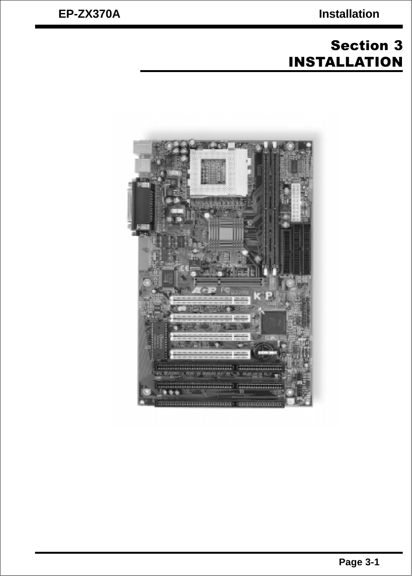# Section 3 INSTALLATION

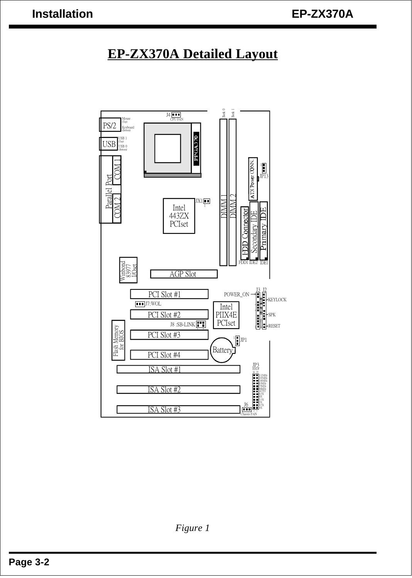## **EP-ZX370A Detailed Layout**



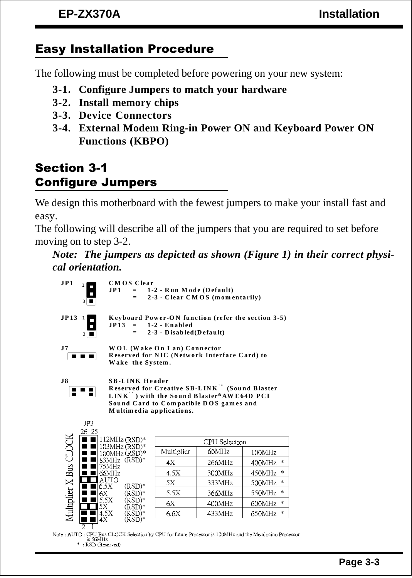### Easy Installation Procedure

The following must be completed before powering on your new system:

- **3-1. Configure Jumpers to match your hardware**
- **3-2. Install memory chips**
- **3-3. Device Connectors**
- **3-4. External Modem Ring-in Power ON and Keyboard Power ON Functions (KBPO)**

### Section 3-1 Configure Jumpers

We design this motherboard with the fewest jumpers to make your install fast and easy.

The following will describe all of the jumpers that you are required to set before moving on to step 3-2.

*Note: The jumpers as depicted as shown (Figure 1) in their correct physical orientation.*



Note ; AUTO ; CPU Bus CLOCK Selection by CPU for future Processor is 100MHz and the Mendocino Processor is 66MHz<br>\*: RSD (Reserved)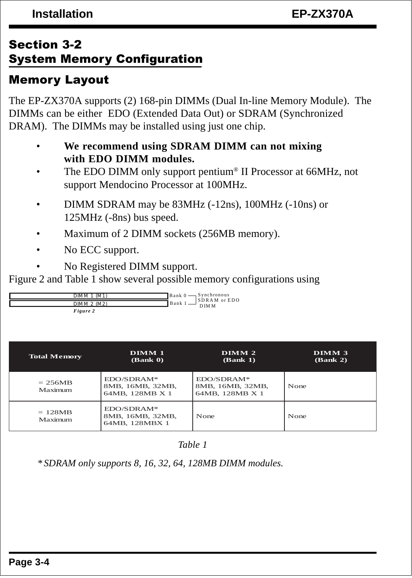### Section 3-2 System Memory Configuration

### Memory Layout

The EP-ZX370A supports (2) 168-pin DIMMs (Dual In-line Memory Module). The DIMMs can be either EDO (Extended Data Out) or SDRAM (Synchronized DRAM). The DIMMs may be installed using just one chip.

- **We recommend using SDRAM DIMM can not mixing with EDO DIMM modules.**
- The EDO DIMM only support pentium® II Processor at 66MHz, not support Mendocino Processor at 100MHz.
- DIMM SDRAM may be 83MHz (-12ns), 100MHz (-10ns) or 125MHz (-8ns) bus speed.
- Maximum of 2 DIMM sockets (256MB memory).
- No ECC support.
- No Registered DIMM support.

Figure 2 and Table 1 show several possible memory configurations using

| (M <sup>-1</sup><br>DIM M | — Synchronous<br>$Bank 0$ –              |
|---------------------------|------------------------------------------|
| (M2)<br>DIMM <sub>2</sub> | SDRAM or EDO<br>Bank<br>DIM <sub>M</sub> |
| Figure 2                  |                                          |

| <b>Total Memory</b>  | DIMM <sub>1</sub><br>(Bank 0)                     | DIMM <sub>2</sub><br>(Bank 1)                     | DIMM <sub>3</sub><br>(Bank 2) |
|----------------------|---------------------------------------------------|---------------------------------------------------|-------------------------------|
| $= 256MB$<br>Maximum | EDO/SDRAM*<br>8MB, 16MB, 32MB,<br>64MB, 128MB X 1 | EDO/SDRAM*<br>8MB, 16MB, 32MB,<br>64MB, 128MB X 1 | None                          |
| $= 128MB$<br>Maximum | EDO/SDRAM*<br>8MB, 16MB, 32MB,<br>64MB, 128MBX 1  | None                                              | None                          |

*Table 1*

 *\* SDRAM only supports 8, 16, 32, 64, 128MB DIMM modules.*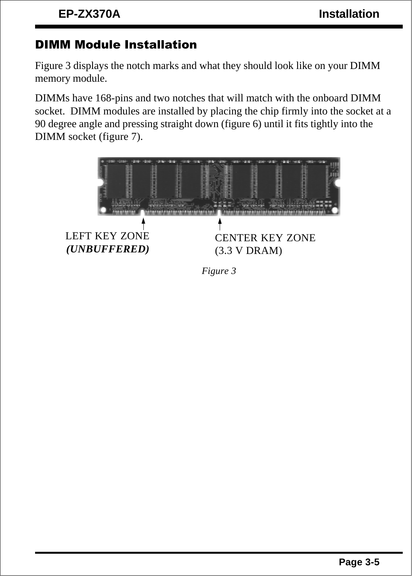### DIMM Module Installation

Figure 3 displays the notch marks and what they should look like on your DIMM memory module.

DIMMs have 168-pins and two notches that will match with the onboard DIMM socket. DIMM modules are installed by placing the chip firmly into the socket at a 90 degree angle and pressing straight down (figure 6) until it fits tightly into the DIMM socket (figure 7).



*Figure 3*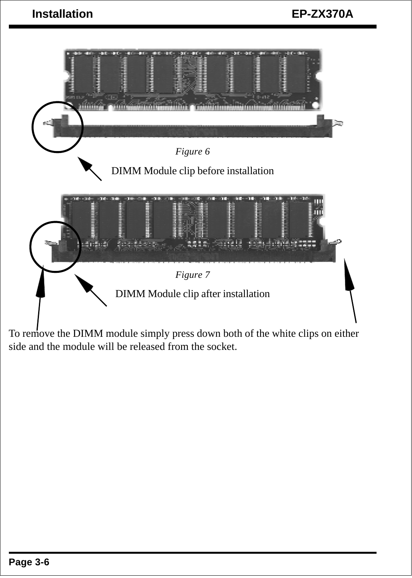

To remove the DIMM module simply press down both of the white clips on either side and the module will be released from the socket.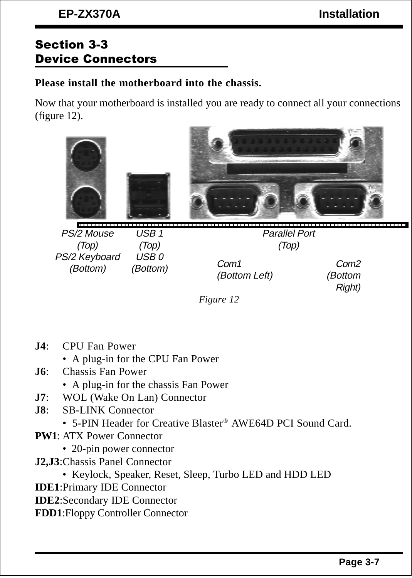### Section 3-3 Device Connectors

### **Please install the motherboard into the chassis.**

Now that your motherboard is installed you are ready to connect all your connections (figure 12).



*Figure 12*

- **J4**: CPU Fan Power
	- A plug-in for the CPU Fan Power
- **J6**: Chassis Fan Power
	- A plug-in for the chassis Fan Power
- **J7**: WOL (Wake On Lan) Connector
- **J8**: SB-LINK Connector

• 5-PIN Header for Creative Blaster<sup>®</sup> AWE64D PCI Sound Card.

- **PW1**: ATX Power Connector
	- 20-pin power connector
- **J2,J3**:Chassis Panel Connector
	- Keylock, Speaker, Reset, Sleep, Turbo LED and HDD LED
- **IDE1**:Primary IDE Connector
- **IDE2**:Secondary IDE Connector
- **FDD1**:Floppy Controller Connector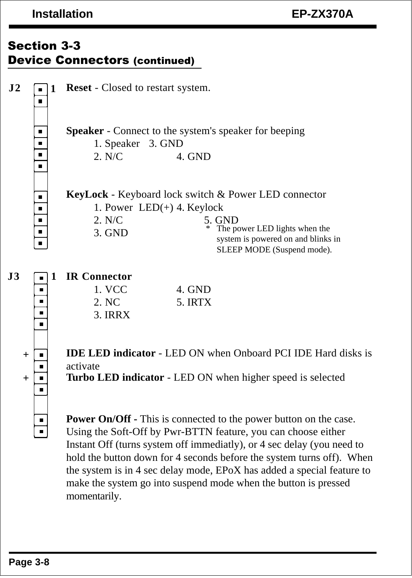### Section 3-3 Device Connectors (continued)

| $\bf{J2}$  | $-11$<br>п                                                    | <b>Reset</b> - Closed to restart system.                                                                                                                                                                                 |
|------------|---------------------------------------------------------------|--------------------------------------------------------------------------------------------------------------------------------------------------------------------------------------------------------------------------|
|            | п<br>п<br>п<br>п                                              | <b>Speaker</b> - Connect to the system's speaker for beeping<br>1. Speaker 3. GND<br>2. N/C<br>4. GND                                                                                                                    |
|            | $\blacksquare$<br>$\blacksquare$<br>$\blacksquare$<br>п<br>п. | KeyLock - Keyboard lock switch & Power LED connector<br>1. Power LED $(+)$ 4. Keylock<br>2. N/C<br>5. GND<br>The power LED lights when the<br>3. GND<br>system is powered on and blinks in<br>SLEEP MODE (Suspend mode). |
| $\bf J3$   | 1<br>■                                                        | <b>IR Connector</b><br>1. VCC<br>4. GND<br>2. NC<br>5. IRTX<br>3. IRRX                                                                                                                                                   |
| $+$<br>$+$ |                                                               | <b>IDE LED indicator</b> - LED ON when Onboard PCI IDE Hard disks is<br>activate<br><b>Turbo LED indicator</b> - LED ON when higher speed is selected                                                                    |

Power On/Off - This is connected to the power button on the case. Using the Soft-Off by Pwr-BTTN feature, you can choose either Instant Off (turns system off immediatly), or 4 sec delay (you need to hold the button down for 4 seconds before the system turns off). When the system is in 4 sec delay mode, EPoX has added a special feature to make the system go into suspend mode when the button is pressed momentarily.

 $\blacksquare$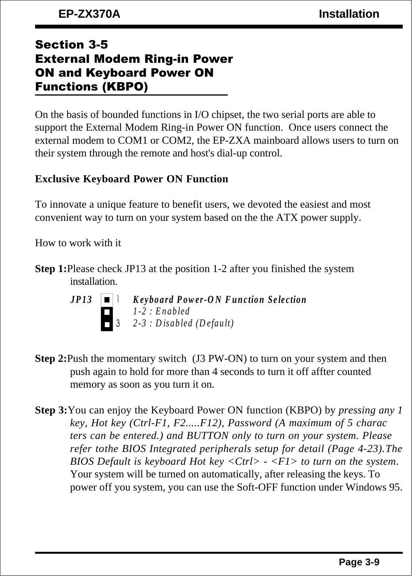### Section 3-5 External Modem Ring-in Power ON and Keyboard Power ON Functions (KBPO)

On the basis of bounded functions in I/O chipset, the two serial ports are able to support the External Modem Ring-in Power ON function. Once users connect the external modem to COM1 or COM2, the EP-ZXA mainboard allows users to turn on their system through the remote and host's dial-up control.

### **Exclusive Keyboard Power ON Function**

To innovate a unique feature to benefit users, we devoted the easiest and most convenient way to turn on your system based on the the ATX power supply.

How to work with it

**Step 1:**Please check JP13 at the position 1-2 after you finished the system installation.



*JP13*  $\boxed{\blacksquare}$  *Keyboard Power-ON Function Selection 1-2 : Enabled 2-3 : D isabled (D efault)*

- **Step 2:**Push the momentary switch (J3 PW-ON) to turn on your system and then push again to hold for more than 4 seconds to turn it off affter counted memory as soon as you turn it on.
- **Step 3:**You can enjoy the Keyboard Power ON function (KBPO) by *pressing any 1 key, Hot key (Ctrl-F1, F2.....F12), Password (A maximum of 5 charac ters can be entered.) and BUTTON only to turn on your system. Please refer tothe BIOS Integrated peripherals setup for detail (Page 4-23).The BIOS Default is keyboard Hot key <Ctrl> - <F1> to turn on the system*. Your system will be turned on automatically, after releasing the keys. To power off you system, you can use the Soft-OFF function under Windows 95.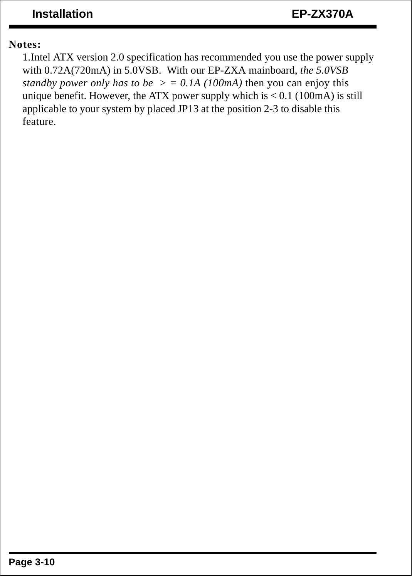### **Notes:**

1.Intel ATX version 2.0 specification has recommended you use the power supply with 0.72A(720mA) in 5.0VSB. With our EP-ZXA mainboard, *the 5.0VSB standby power only has to be*  $> = 0.1A$  (100mA) then you can enjoy this unique benefit. However, the ATX power supply which is  $< 0.1$  (100mA) is still applicable to your system by placed JP13 at the position 2-3 to disable this feature.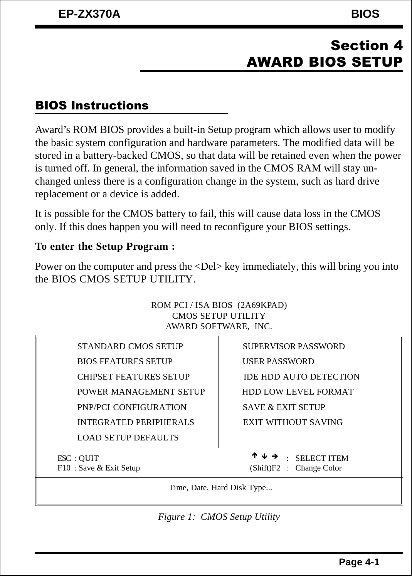# Section 4 AWARD BIOS SETUP

### BIOS Instructions

Award's ROM BIOS provides a built-in Setup program which allows user to modify the basic system configuration and hardware parameters. The modified data will be stored in a battery-backed CMOS, so that data will be retained even when the power is turned off. In general, the information saved in the CMOS RAM will stay unchanged unless there is a configuration change in the system, such as hard drive replacement or a device is added.

It is possible for the CMOS battery to fail, this will cause data loss in the CMOS only. If this does happen you will need to reconfigure your BIOS settings.

### **To enter the Setup Program :**

Power on the computer and press the <Del> key immediately, this will bring you into the BIOS CMOS SETUP UTILITY.

| <b>CMOS SETUP UTILITY</b><br>AWARD SOFTWARE, INC. |                                              |  |  |  |
|---------------------------------------------------|----------------------------------------------|--|--|--|
| STANDARD CMOS SETUP                               | SUPERVISOR PASSWORD                          |  |  |  |
| <b>BIOS FEATURES SETUP</b>                        | USER PASSWORD                                |  |  |  |
| <b>CHIPSET FEATURES SETUP</b>                     | <b>IDE HDD AUTO DETECTION</b>                |  |  |  |
| POWER MANAGEMENT SETUP                            | <b>HDD LOW LEVEL FORMAT</b>                  |  |  |  |
| PNP/PCI CONFIGURATION                             | <b>SAVE &amp; EXIT SETUP</b>                 |  |  |  |
| INTEGRATED PERIPHERALS                            | EXIT WITHOUT SAVING                          |  |  |  |
| <b>LOAD SETUP DEFAULTS</b>                        |                                              |  |  |  |
| ESC : QUIT                                        | $\uparrow \downarrow \uparrow$ : SELECT ITEM |  |  |  |
| F10 : Save & Exit Setup                           | $(Shift)F2$ : Change Color                   |  |  |  |
| Time, Date, Hard Disk Type                        |                                              |  |  |  |

# ROM PCI / ISA BIOS (2A69KPAD)

*Figure 1: CMOS Setup Utility*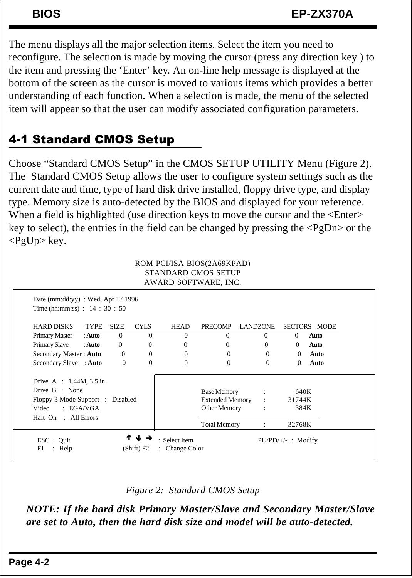The menu displays all the major selection items. Select the item you need to reconfigure. The selection is made by moving the cursor (press any direction key ) to the item and pressing the 'Enter' key. An on-line help message is displayed at the bottom of the screen as the cursor is moved to various items which provides a better understanding of each function. When a selection is made, the menu of the selected item will appear so that the user can modify associated configuration parameters.

### 4-1 Standard CMOS Setup

Choose "Standard CMOS Setup" in the CMOS SETUP UTILITY Menu (Figure 2). The Standard CMOS Setup allows the user to configure system settings such as the current date and time, type of hard disk drive installed, floppy drive type, and display type. Memory size is auto-detected by the BIOS and displayed for your reference. When a field is highlighted (use direction keys to move the cursor and the  $\leq$ Enter $>$ key to select), the entries in the field can be changed by pressing the <PgDn> or the  $<$ PgUp $>$  key.

| ROM PCI/ISA BIOS(2A69KPAD) |
|----------------------------|
| STANDARD CMOS SETUP        |
| AWARD SOFTWARE, INC.       |

| HARD DISKS                                                                                                                      | <b>TYPE</b> | <b>SIZE</b> | <b>CYLS</b>  | <b>HEAD</b> | <b>PRECOMP</b>                                                                      | LANDZONE |                                  | SECTORS MODE |
|---------------------------------------------------------------------------------------------------------------------------------|-------------|-------------|--------------|-------------|-------------------------------------------------------------------------------------|----------|----------------------------------|--------------|
| Primary Master                                                                                                                  | : Auto      | $\Omega$    | $\Omega$     | $\Omega$    | $\Omega$                                                                            | $\Omega$ | $\Omega$                         | Auto         |
| Primary Slave                                                                                                                   | : Auto      | $\Omega$    | $\mathbf{0}$ | $\Omega$    | $\Omega$                                                                            | $\Omega$ | $\Omega$                         | Auto         |
| Secondary Master: Auto                                                                                                          |             | $\Omega$    | $\Omega$     | $\Omega$    | $\Omega$                                                                            | $\Omega$ | $\Omega$                         | Auto         |
| Secondary Slave : Auto                                                                                                          |             | $\Omega$    | $\Omega$     | $\Omega$    | $\Omega$                                                                            | $\Omega$ | $\Omega$                         | Auto         |
| Drive $A : 1.44M, 3.5$ in.<br>Drive B: None<br>Floppy 3 Mode Support :<br>$\therefore$ EGA/VGA<br>Video<br>Halt On : All Errors |             | Disabled    |              |             | <b>Base Memory</b><br><b>Extended Memory</b><br>Other Memory<br><b>Total Memory</b> | $\cdot$  | 640K<br>31744K<br>384K<br>32768K |              |

*Figure 2: Standard CMOS Setup*

*NOTE: If the hard disk Primary Master/Slave and Secondary Master/Slave are set to Auto, then the hard disk size and model will be auto-detected.*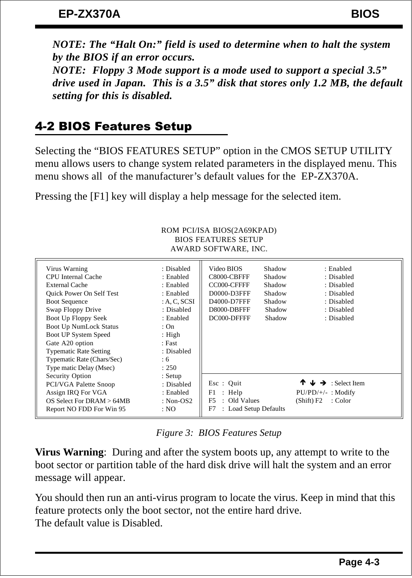*NOTE: The "Halt On:" field is used to determine when to halt the system by the BIOS if an error occurs.*

*NOTE: Floppy 3 Mode support is a mode used to support a special 3.5" drive used in Japan. This is a 3.5" disk that stores only 1.2 MB, the default setting for this is disabled.*

### 4-2 BIOS Features Setup

Selecting the "BIOS FEATURES SETUP" option in the CMOS SETUP UTILITY menu allows users to change system related parameters in the displayed menu. This menu shows all of the manufacturer's default values for the EP-ZX370A.

> ROM PCI/ISA BIOS(2A69KPAD) BIOS FEATURES SETUP AWARD SOFTWARE, INC.

Pressing the [F1] key will display a help message for the selected item.

|                                                                                                                                                                                                                                                                                                                                           |                                                                                                                                                        | AWAND SUI I WANE, INC.                                                                               |                                                                    |                                                                                               |
|-------------------------------------------------------------------------------------------------------------------------------------------------------------------------------------------------------------------------------------------------------------------------------------------------------------------------------------------|--------------------------------------------------------------------------------------------------------------------------------------------------------|------------------------------------------------------------------------------------------------------|--------------------------------------------------------------------|-----------------------------------------------------------------------------------------------|
| Virus Warning<br><b>CPU</b> Internal Cache<br>External Cache<br><b>Ouick Power On Self Test</b><br><b>Boot Sequence</b><br>Swap Floppy Drive<br>Boot Up Floppy Seek<br><b>Boot Up NumLock Status</b><br>Boot UP System Speed<br>Gate A20 option<br><b>Typematic Rate Setting</b><br>Typematic Rate (Chars/Sec)<br>Type matic Delay (Msec) | : Disabled<br>: Enabled<br>: Enabled<br>: Enabled<br>: A. C. SCSI<br>: Disabled<br>: Enabled<br>: On<br>: High<br>: Fast<br>: Disabled<br>: 6<br>: 250 | Video BIOS<br>C8000-CBFFF<br>CC000-CFFFF<br>D0000-D3FFF<br>D4000-D7FFF<br>D8000-DBFFF<br>DC000-DFFFF | Shadow<br>Shadow<br>Shadow<br>Shadow<br>Shadow<br>Shadow<br>Shadow | : Enabled<br>: Disabled<br>: Disabled<br>: Disabled<br>: Disabled<br>: Disabled<br>: Disabled |
| Security Option<br>PCI/VGA Palette Snoop<br>Assign IRO For VGA<br>$OS$ Select For DRAM $>64MB$<br>Report NO FDD For Win 95                                                                                                                                                                                                                | $:$ Setup<br>: Disabled<br>: Enabled<br>: $Non-OS2$<br>: NO                                                                                            | Esc : Quit<br>: Help<br>F1<br>: Old Values<br>F <sub>5</sub><br>F7<br>: Load Setup Defaults          |                                                                    | $\rightarrow$ : Select Item<br>T.<br>$PU/PD/+/-$ : Modify<br>(Shift) F2<br>: Color            |

*Figure 3: BIOS Features Setup*

**Virus Warning**:During and after the system boots up, any attempt to write to the boot sector or partition table of the hard disk drive will halt the system and an error message will appear.

You should then run an anti-virus program to locate the virus. Keep in mind that this feature protects only the boot sector, not the entire hard drive. The default value is Disabled.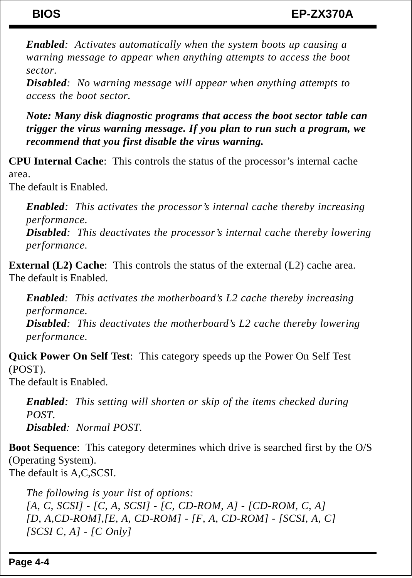*Enabled: Activates automatically when the system boots up causing a warning message to appear when anything attempts to access the boot sector.*

*Disabled: No warning message will appear when anything attempts to access the boot sector.*

*Note: Many disk diagnostic programs that access the boot sector table can trigger the virus warning message. If you plan to run such a program, we recommend that you first disable the virus warning.*

**CPU Internal Cache**: This controls the status of the processor's internal cache area.

The default is Enabled.

*Enabled: This activates the processor's internal cache thereby increasing performance. Disabled: This deactivates the processor's internal cache thereby lowering performance.*

**External (L2) Cache:** This controls the status of the external (L2) cache area. The default is Enabled.

*Enabled: This activates the motherboard's L2 cache thereby increasing performance. Disabled: This deactivates the motherboard's L2 cache thereby lowering performance.*

**Quick Power On Self Test**: This category speeds up the Power On Self Test (POST).

The default is Enabled.

*Enabled: This setting will shorten or skip of the items checked during POST. Disabled: Normal POST.*

**Boot Sequence**: This category determines which drive is searched first by the O/S (Operating System). The default is A,C,SCSI.

*The following is your list of options: [A, C, SCSI] - [C, A, SCSI] - [C, CD-ROM, A] - [CD-ROM, C, A] [D, A,CD-ROM],[E, A, CD-ROM] - [F, A, CD-ROM] - [SCSI, A, C] [SCSI C, A] - [C Only]*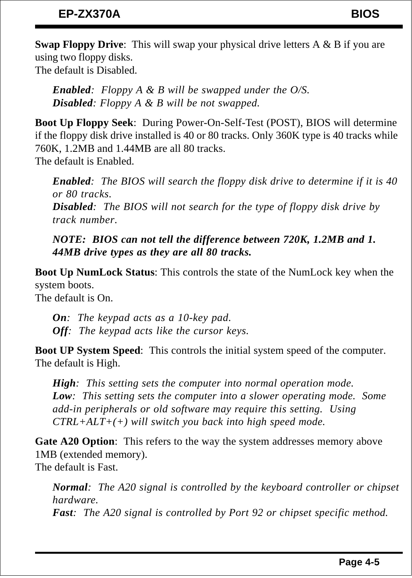**Swap Floppy Drive**: This will swap your physical drive letters A & B if you are using two floppy disks.

The default is Disabled.

*Enabled: Floppy A & B will be swapped under the O/S. Disabled: Floppy A & B will be not swapped.*

**Boot Up Floppy Seek**: During Power-On-Self-Test (POST), BIOS will determine if the floppy disk drive installed is 40 or 80 tracks. Only 360K type is 40 tracks while 760K, 1.2MB and 1.44MB are all 80 tracks.

The default is Enabled.

*Enabled: The BIOS will search the floppy disk drive to determine if it is 40 or 80 tracks. Disabled: The BIOS will not search for the type of floppy disk drive by track number.*

*NOTE: BIOS can not tell the difference between 720K, 1.2MB and 1. 44MB drive types as they are all 80 tracks.*

**Boot Up NumLock Status**: This controls the state of the NumLock key when the system boots.

The default is On.

*On: The keypad acts as a 10-key pad. Off: The keypad acts like the cursor keys.*

**Boot UP System Speed**: This controls the initial system speed of the computer. The default is High.

*High: This setting sets the computer into normal operation mode. Low: This setting sets the computer into a slower operating mode. Some add-in peripherals or old software may require this setting. Using CTRL+ALT+(+) will switch you back into high speed mode.*

**Gate A20 Option**: This refers to the way the system addresses memory above 1MB (extended memory). The default is Fast.

*Normal: The A20 signal is controlled by the keyboard controller or chipset hardware. Fast: The A20 signal is controlled by Port 92 or chipset specific method.*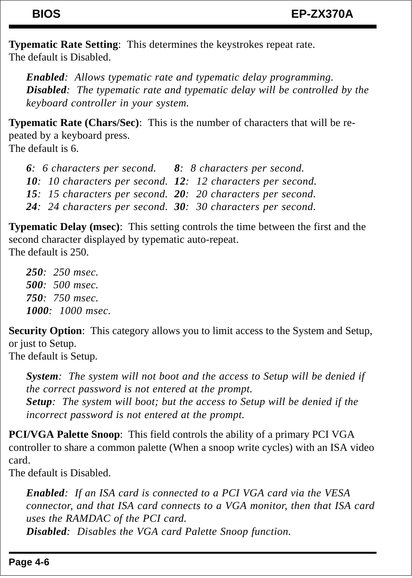**Typematic Rate Setting**: This determines the keystrokes repeat rate. The default is Disabled.

*Enabled: Allows typematic rate and typematic delay programming. Disabled: The typematic rate and typematic delay will be controlled by the keyboard controller in your system.*

**Typematic Rate (Chars/Sec)**: This is the number of characters that will be repeated by a keyboard press. The default is 6.

*: 6 characters per second. 8: 8 characters per second. : 10 characters per second. 12: 12 characters per second. : 15 characters per second. 20: 20 characters per second. : 24 characters per second. 30: 30 characters per second.*

**Typematic Delay (msec)**: This setting controls the time between the first and the second character displayed by typematic auto-repeat. The default is 250.

*: 250 msec. : 500 msec. : 750 msec. : 1000 msec.*

**Security Option**: This category allows you to limit access to the System and Setup, or just to Setup.

The default is Setup.

*System: The system will not boot and the access to Setup will be denied if the correct password is not entered at the prompt. Setup: The system will boot; but the access to Setup will be denied if the incorrect password is not entered at the prompt.*

**PCI/VGA Palette Snoop**: This field controls the ability of a primary PCI VGA controller to share a common palette (When a snoop write cycles) with an ISA video card.

The default is Disabled.

*Enabled: If an ISA card is connected to a PCI VGA card via the VESA connector, and that ISA card connects to a VGA monitor, then that ISA card uses the RAMDAC of the PCI card.*

*Disabled: Disables the VGA card Palette Snoop function.*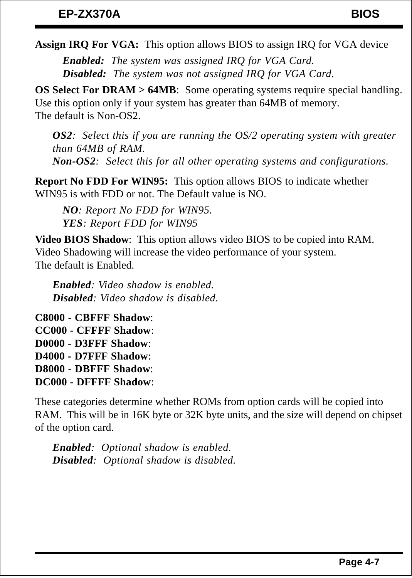**Assign IRQ For VGA:** This option allows BIOS to assign IRQ for VGA device

*Enabled: The system was assigned IRQ for VGA Card. Disabled: The system was not assigned IRQ for VGA Card.*

**OS Select For DRAM > 64MB**: Some operating systems require special handling. Use this option only if your system has greater than 64MB of memory. The default is Non-OS2.

*OS2: Select this if you are running the OS/2 operating system with greater than 64MB of RAM. Non-OS2: Select this for all other operating systems and configurations.*

**Report No FDD For WIN95:** This option allows BIOS to indicate whether WIN95 is with FDD or not. The Default value is NO.

*NO: Report No FDD for WIN95. YES: Report FDD for WIN95*

**Video BIOS Shadow**: This option allows video BIOS to be copied into RAM. Video Shadowing will increase the video performance of your system. The default is Enabled.

*Enabled: Video shadow is enabled. Disabled: Video shadow is disabled.*

**C8000 - CBFFF Shadow**: **CC000 - CFFFF Shadow**: **D0000 - D3FFF Shadow**: **D4000 - D7FFF Shadow**: **D8000 - DBFFF Shadow**: **DC000 - DFFFF Shadow**:

These categories determine whether ROMs from option cards will be copied into RAM. This will be in 16K byte or 32K byte units, and the size will depend on chipset of the option card.

*Enabled: Optional shadow is enabled. Disabled: Optional shadow is disabled.*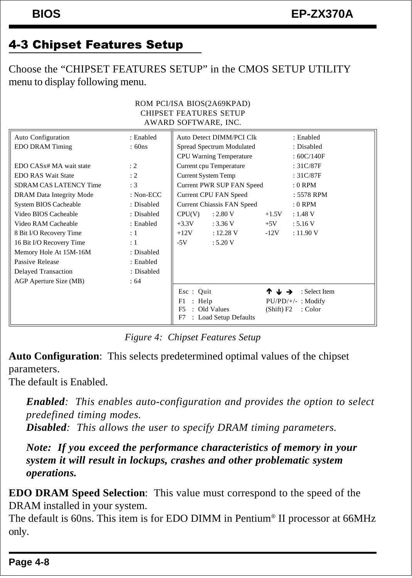### 4-3 Chipset Features Setup

Choose the "CHIPSET FEATURES SETUP" in the CMOS SETUP UTILITY menu to display following menu.

### ROM PCI/ISA BIOS(2A69KPAD) CHIPSET FEATURES SETUP AWARD SOFTWARE, INC.

| Auto Configuration                   | : Enabled          |                                   | Auto Detect DIMM/PCI Clk |            | : Enabled            |
|--------------------------------------|--------------------|-----------------------------------|--------------------------|------------|----------------------|
| <b>EDO DRAM Timing</b>               | : 60 <sub>ns</sub> | Spread Spectrum Modulated         |                          |            | : Disabled           |
|                                      |                    | <b>CPU Warning Temperature</b>    |                          |            | :60C/140F            |
| EDO CAS <sub>x</sub> # MA wait state | $\therefore$ 2     | Current cpu Temperature           |                          |            | : $31C/87F$          |
| <b>EDO RAS Wait State</b>            | : 2                | Current System Temp               |                          |            | : $31C/87F$          |
| <b>SDRAM CAS LATENCY Time</b>        | :3                 | Current PWR SUP FAN Speed         |                          |            | $: 0$ RPM            |
| DRAM Data Integrity Mode             | : $Non-ECC$        | <b>Current CPU FAN Speed</b>      |                          |            | : 5578 RPM           |
| System BIOS Cacheable                | : Disabled         | <b>Current Chiassis FAN Speed</b> |                          | $: 0$ RPM  |                      |
| Video BIOS Cacheable                 | : Disabled         | CPU(V)                            | : 2.80 V                 | $+1.5V$    | : 1.48 V             |
| Video RAM Cacheable                  | : Enabled          | $+3.3V$                           | : 3.36 V                 | $+5V$      | : 5.16 V             |
| 8 Bit I/O Recovery Time              | :1                 | $+12V$                            | $: 12.28 \text{ V}$      | $-12V$     | : 11.90 V            |
| 16 Bit I/O Recovery Time             | $\colon$ 1         | $-5V$                             | : 5.20 V                 |            |                      |
| Memory Hole At 15M-16M               | : Disabled         |                                   |                          |            |                      |
| Passive Release                      | : Enabled          |                                   |                          |            |                      |
| Delayed Transaction                  | : Disabled         |                                   |                          |            |                      |
| AGP Aperture Size (MB)               | :64                |                                   |                          |            |                      |
|                                      |                    | Esc: Ouit                         |                          |            | : Select Item<br>→   |
|                                      |                    | : Help<br>F1                      |                          |            | $PU/PD/+/-$ : Modify |
|                                      |                    | F5                                | : Old Values             | (Shift) F2 | : Color              |
|                                      |                    | F7                                | : Load Setup Defaults    |            |                      |

*Figure 4: Chipset Features Setup*

**Auto Configuration**: This selects predetermined optimal values of the chipset parameters.

The default is Enabled.

*Enabled: This enables auto-configuration and provides the option to select predefined timing modes.*

*Disabled: This allows the user to specify DRAM timing parameters.*

*Note: If you exceed the performance characteristics of memory in your system it will result in lockups, crashes and other problematic system operations.*

**EDO DRAM Speed Selection**: This value must correspond to the speed of the DRAM installed in your system.

The default is 60ns. This item is for EDO DIMM in Pentium® II processor at 66MHz only.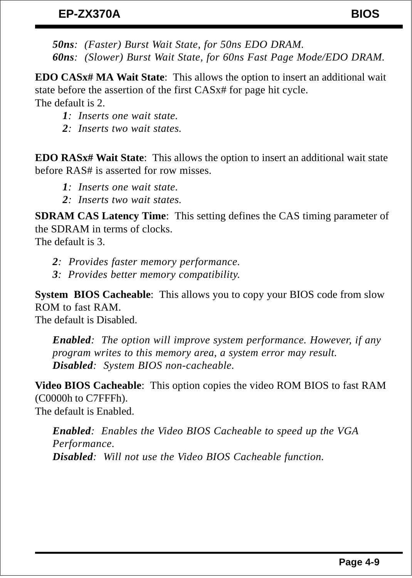**EDO CASx# MA Wait State**: This allows the option to insert an additional wait state before the assertion of the first CASx# for page hit cycle. The default is 2.

*1: Inserts one wait state.*

*2: Inserts two wait states.*

**EDO RASx# Wait State**: This allows the option to insert an additional wait state before RAS# is asserted for row misses.

- *1: Inserts one wait state.*
- *2: Inserts two wait states.*

**SDRAM CAS Latency Time**: This setting defines the CAS timing parameter of the SDRAM in terms of clocks.

The default is 3.

- *2: Provides faster memory performance.*
- *3: Provides better memory compatibility.*

**System BIOS Cacheable**: This allows you to copy your BIOS code from slow ROM to fast RAM.

The default is Disabled.

*Enabled: The option will improve system performance. However, if any program writes to this memory area, a system error may result. Disabled: System BIOS non-cacheable.*

**Video BIOS Cacheable**: This option copies the video ROM BIOS to fast RAM (C0000h to C7FFFh). The default is Enabled.

*Enabled: Enables the Video BIOS Cacheable to speed up the VGA Performance. Disabled: Will not use the Video BIOS Cacheable function.*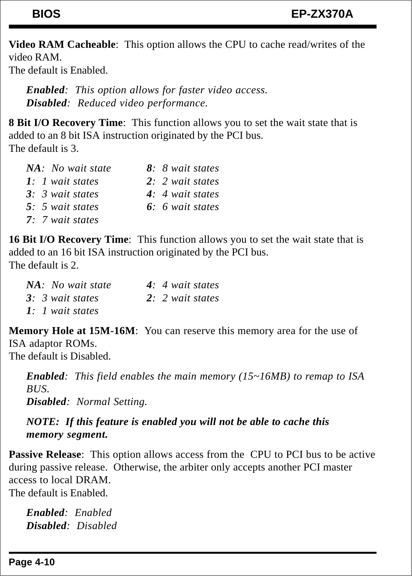**Video RAM Cacheable**: This option allows the CPU to cache read/writes of the video RAM.

The default is Enabled.

*Enabled: This option allows for faster video access. Disabled: Reduced video performance.*

**8 Bit I/O Recovery Time**: This function allows you to set the wait state that is added to an 8 bit ISA instruction originated by the PCI bus. The default is 3.

| NA: No wait state | 8: 8 wait states   |
|-------------------|--------------------|
| 1: I wait states  | $2: 2$ wait states |
| 3: 3 wait states  | 4: 4 wait states   |
| 5: 5 wait states  | 6: 6 wait states   |
| 7: 7 wait states  |                    |

**16 Bit I/O Recovery Time**: This function allows you to set the wait state that is added to an 16 bit ISA instruction originated by the PCI bus. The default is 2.

| NA: No wait state |  | 4: 4 wait states |  |
|-------------------|--|------------------|--|
| 3: 3 wait states  |  | 2: 2 wait states |  |
| 1: I wait states  |  |                  |  |

**Memory Hole at 15M-16M**: You can reserve this memory area for the use of ISA adaptor ROMs.

The default is Disabled.

*Enabled: This field enables the main memory (15~16MB) to remap to ISA BUS. Disabled: Normal Setting.*

*NOTE: If this feature is enabled you will not be able to cache this memory segment.*

**Passive Release**: This option allows access from the CPU to PCI bus to be active during passive release. Otherwise, the arbiter only accepts another PCI master access to local DRAM. The default is Enabled.

*Enabled: Enabled Disabled: Disabled*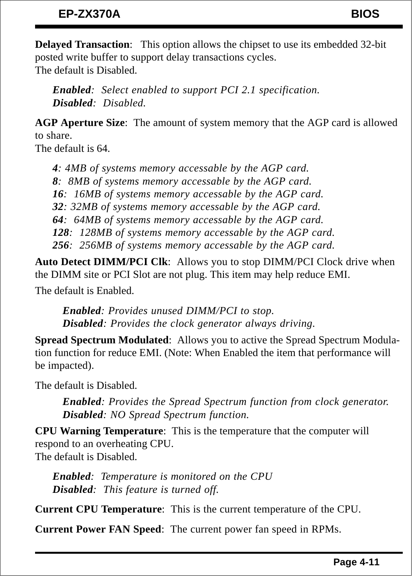**Delayed Transaction:** This option allows the chipset to use its embedded 32-bit posted write buffer to support delay transactions cycles. The default is Disabled.

*Enabled: Select enabled to support PCI 2.1 specification. Disabled: Disabled.*

**AGP Aperture Size**: The amount of system memory that the AGP card is allowed to share.

The default is 64.

*: 4MB of systems memory accessable by the AGP card. : 8MB of systems memory accessable by the AGP card. : 16MB of systems memory accessable by the AGP card. : 32MB of systems memory accessable by the AGP card. : 64MB of systems memory accessable by the AGP card. : 128MB of systems memory accessable by the AGP card. : 256MB of systems memory accessable by the AGP card.*

**Auto Detect DIMM/PCI Clk**: Allows you to stop DIMM/PCI Clock drive when the DIMM site or PCI Slot are not plug. This item may help reduce EMI. The default is Enabled.

*Enabled: Provides unused DIMM/PCI to stop. Disabled: Provides the clock generator always driving.*

**Spread Spectrum Modulated**: Allows you to active the Spread Spectrum Modulation function for reduce EMI. (Note: When Enabled the item that performance will be impacted).

The default is Disabled.

*Enabled: Provides the Spread Spectrum function from clock generator. Disabled: NO Spread Spectrum function.*

**CPU Warning Temperature**: This is the temperature that the computer will respond to an overheating CPU. The default is Disabled.

*Enabled: Temperature is monitored on the CPU Disabled: This feature is turned off.*

**Current CPU Temperature**: This is the current temperature of the CPU.

**Current Power FAN Speed**: The current power fan speed in RPMs.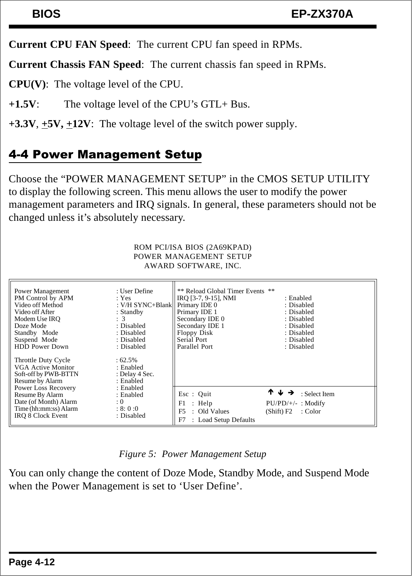**Current CPU FAN Speed**: The current CPU fan speed in RPMs.

**Current Chassis FAN Speed**: The current chassis fan speed in RPMs.

**CPU(V)**: The voltage level of the CPU.

**+1.5V**: The voltage level of the CPU's GTL+ Bus.

**+3.3V**, **+5V, +12V**: The voltage level of the switch power supply.

# 4-4 Power Management Setup

Choose the "POWER MANAGEMENT SETUP" in the CMOS SETUP UTILITY to display the following screen. This menu allows the user to modify the power management parameters and IRQ signals. In general, these parameters should not be changed unless it's absolutely necessary.

### ROM PCI/ISA BIOS (2A69KPAD) POWER MANAGEMENT SETUP AWARD SOFTWARE, INC.

| Power Management<br>PM Control by APM<br>Video off Method<br>Video off After<br>Modem Use IRO<br>Doze Mode<br>Standby Mode<br>Suspend Mode<br>HDD Power Down                                                 | : User Define<br>: Yes<br>: V/H SYNC+Blank<br>: Standby<br>$\therefore$ 3<br>: Disabled<br>: Disabled<br>: Disabled<br>: Disabled | ** Reload Global Timer Events **<br>IRO [3-7, 9-15], NMI<br>Primary IDE 0<br>Primary IDE 1<br>Secondary IDE 0<br>Secondary IDE 1<br>Floppy Disk<br>Serial Port<br>Parallel Port | : Enabled<br>: Disabled<br>: Disabled<br>: Disabled<br>: Disabled<br>: Disabled<br>: Disabled<br>: Disabled |
|--------------------------------------------------------------------------------------------------------------------------------------------------------------------------------------------------------------|-----------------------------------------------------------------------------------------------------------------------------------|---------------------------------------------------------------------------------------------------------------------------------------------------------------------------------|-------------------------------------------------------------------------------------------------------------|
| Throttle Duty Cycle<br>VGA Active Monitor<br>Soft-off by PWB-BTTN<br>Resume by Alarm<br>Power Loss Recovery<br>Resume By Alarm<br>Date (of Month) Alarm<br>Time (hh:mm:ss) Alarm<br><b>IRO 8 Clock Event</b> | $:62.5\%$<br>: Enabled<br>: Delay 4 Sec.<br>: Enabled<br>: Enabled<br>: Enabled<br>: 0<br>: 8:0:0<br>: Disabled                   | Esc: Ouit<br>$\therefore$ Help<br>F1<br>: Old Values<br>F <sub>5</sub><br>F7<br>: Load Setup Defaults                                                                           | ↑↓→<br>: Select Item<br>$PU/PD/+/-$ : Modify<br>(Shift) F2<br>: Color                                       |

### *Figure 5: Power Management Setup*

You can only change the content of Doze Mode, Standby Mode, and Suspend Mode when the Power Management is set to 'User Define'.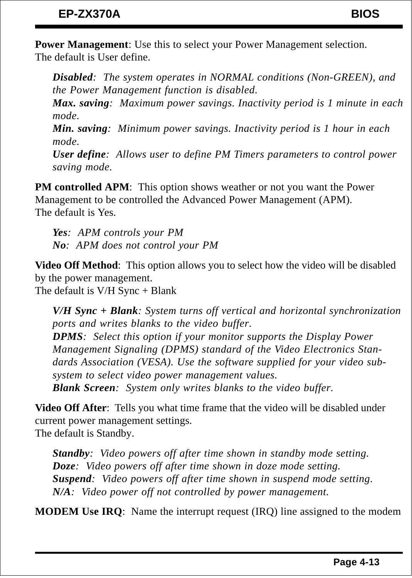**Power Management**: Use this to select your Power Management selection. The default is User define.

*Disabled: The system operates in NORMAL conditions (Non-GREEN), and the Power Management function is disabled. Max. saving: Maximum power savings. Inactivity period is 1 minute in each mode. Min. saving: Minimum power savings. Inactivity period is 1 hour in each mode. User define: Allows user to define PM Timers parameters to control power*

*saving mode.*

**PM controlled APM**: This option shows weather or not you want the Power Management to be controlled the Advanced Power Management (APM). The default is Yes.

*Yes: APM controls your PM No: APM does not control your PM*

**Video Off Method**: This option allows you to select how the video will be disabled by the power management. The default is  $V/H$  Sync + Blank

*V/H Sync + Blank: System turns off vertical and horizontal synchronization ports and writes blanks to the video buffer. DPMS: Select this option if your monitor supports the Display Power Management Signaling (DPMS) standard of the Video Electronics Standards Association (VESA). Use the software supplied for your video subsystem to select video power management values. Blank Screen: System only writes blanks to the video buffer.*

**Video Off After**: Tells you what time frame that the video will be disabled under current power management settings.

The default is Standby.

*Standby: Video powers off after time shown in standby mode setting. Doze: Video powers off after time shown in doze mode setting. Suspend: Video powers off after time shown in suspend mode setting. N/A: Video power off not controlled by power management.*

**MODEM Use IRQ**: Name the interrupt request (IRQ) line assigned to the modem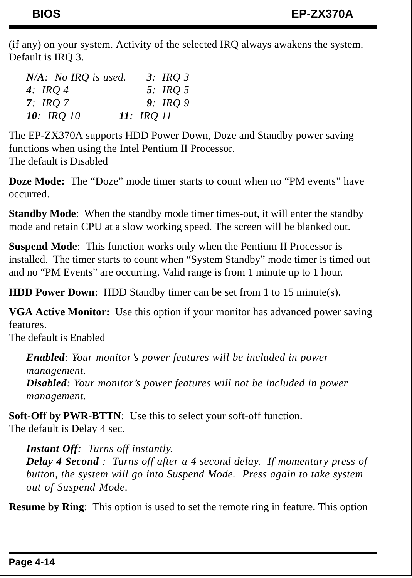(if any) on your system. Activity of the selected IRQ always awakens the system. Default is IRO 3.

| $N/A$ : No IRQ is used. | 3: IRO3    |
|-------------------------|------------|
| 4: $IRQ_4$              | 5: $IRQ$ 5 |
| 7: $IRO$ 7              | 9: IRO.9   |
| 10: $IRQ$ 10            | 11: IRQ 11 |

The EP-ZX370A supports HDD Power Down, Doze and Standby power saving functions when using the Intel Pentium II Processor. The default is Disabled

**Doze Mode:** The "Doze" mode timer starts to count when no "PM events" have occurred.

**Standby Mode**: When the standby mode timer times-out, it will enter the standby mode and retain CPU at a slow working speed. The screen will be blanked out.

**Suspend Mode**: This function works only when the Pentium II Processor is installed. The timer starts to count when "System Standby" mode timer is timed out and no "PM Events" are occurring. Valid range is from 1 minute up to 1 hour.

**HDD Power Down**: HDD Standby timer can be set from 1 to 15 minute(s).

**VGA Active Monitor:** Use this option if your monitor has advanced power saving features.

The default is Enabled

*Enabled: Your monitor's power features will be included in power management. Disabled: Your monitor's power features will not be included in power management.*

**Soft-Off by PWR-BTTN**: Use this to select your soft-off function. The default is Delay 4 sec.

*Instant Off: Turns off instantly. Delay 4 Second : Turns off after a 4 second delay. If momentary press of button, the system will go into Suspend Mode. Press again to take system out of Suspend Mode.*

**Resume by Ring**: This option is used to set the remote ring in feature. This option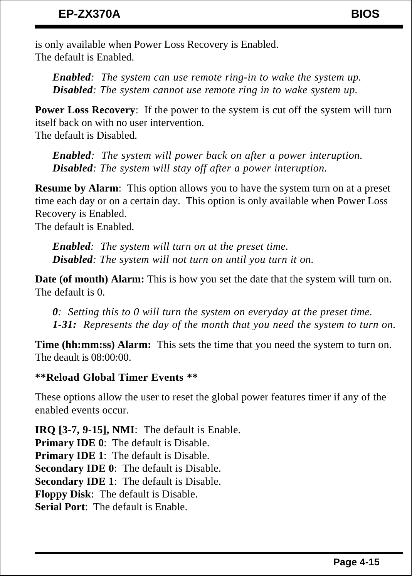is only available when Power Loss Recovery is Enabled. The default is Enabled.

*Enabled: The system can use remote ring-in to wake the system up. Disabled: The system cannot use remote ring in to wake system up.*

**Power Loss Recovery:** If the power to the system is cut off the system will turn itself back on with no user intervention. The default is Disabled.

*Enabled: The system will power back on after a power interuption. Disabled: The system will stay off after a power interuption.*

**Resume by Alarm:** This option allows you to have the system turn on at a preset time each day or on a certain day. This option is only available when Power Loss Recovery is Enabled.

The default is Enabled.

*Enabled: The system will turn on at the preset time. Disabled: The system will not turn on until you turn it on.*

**Date (of month) Alarm:** This is how you set the date that the system will turn on. The default is 0.

*0: Setting this to 0 will turn the system on everyday at the preset time. 1-31: Represents the day of the month that you need the system to turn on.*

**Time (hh:mm:ss) Alarm:** This sets the time that you need the system to turn on. The deault is 08:00:00.

### **\*\*Reload Global Timer Events \*\***

These options allow the user to reset the global power features timer if any of the enabled events occur.

**IRQ [3-7, 9-15], NMI**: The default is Enable. **Primary IDE 0**: The default is Disable. **Primary IDE 1**: The default is Disable. **Secondary IDE 0**: The default is Disable. **Secondary IDE 1**: The default is Disable. **Floppy Disk**: The default is Disable. **Serial Port**: The default is Enable.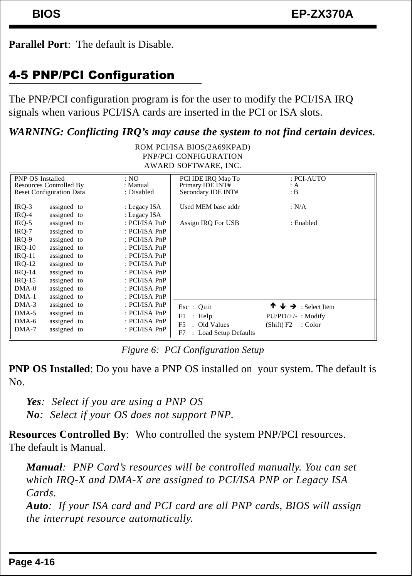**Parallel Port**: The default is Disable.

### 4-5 PNP/PCI Configuration

The PNP/PCI configuration program is for the user to modify the PCI/ISA IRQ signals when various PCI/ISA cards are inserted in the PCI or ISA slots.

### *WARNING: Conflicting IRQ's may cause the system to not find certain devices.*

ROM PCI/ISA BIOS(2A69KPAD) PNP/PCI CONFIGURATION AWARD SOFTWARE, INC.

| <b>PNP OS Installed</b>                                                                                                               | Resources Controlled By<br><b>Reset Configuration Data</b>                                                                                                                       | : NO<br>: Manual<br>: Disabled                                                                                                                                                                             | PCI IDE IRQ Map To<br>Primary IDE INT#<br>Secondary IDE INT#                              | : PCI-AUTO<br>: $A$<br>: B                                                                       |
|---------------------------------------------------------------------------------------------------------------------------------------|----------------------------------------------------------------------------------------------------------------------------------------------------------------------------------|------------------------------------------------------------------------------------------------------------------------------------------------------------------------------------------------------------|-------------------------------------------------------------------------------------------|--------------------------------------------------------------------------------------------------|
| $IRQ-3$<br>$IRQ-4$<br>$IRQ-5$<br>$IRQ-7$<br>$IRQ-9$<br>$IRO-10$<br>$IRQ-11$<br>$IRO-12$<br>$IRO-14$<br>$IRQ-15$<br>$DMA-0$<br>$DMA-1$ | assigned to<br>assigned to<br>assigned to<br>assigned to<br>assigned to<br>assigned to<br>assigned to<br>assigned to<br>assigned to<br>assigned to<br>assigned to<br>assigned to | : Legacy ISA<br>: Legacy ISA<br>: PCI/ISA PnP<br>: PCI/ISA PnP<br>: PCI/ISA PnP<br>: PCI/ISA PnP<br>: PCI/ISA PnP<br>: PCI/ISA PnP<br>: PCI/ISA PnP<br>: PCI/ISA PnP<br>: PCI/ISA PnP<br>: $PCI/ISA$ $PnP$ | Used MEM base addr<br>Assign IRQ For USB                                                  | : N/A<br>: Enabled                                                                               |
| $DMA-3$<br>$DMA-5$<br>$DMA-6$<br>$DMA-7$                                                                                              | assigned to<br>assigned to<br>assigned to<br>assigned to                                                                                                                         | : PCI/ISA PnP<br>: PCI/ISA PnP<br>: PCI/ISA PnP<br>: PCI/ISA PnP                                                                                                                                           | Esc: Ouit<br>F1<br>$\therefore$ Help<br>: Old Values<br>F5<br>F7<br>: Load Setup Defaults | $\uparrow \downarrow \rightarrow$ : Select Item<br>$PU/PD/+/-$ : Modify<br>(Shift) F2<br>: Color |

*Figure 6: PCI Configuration Setup*

**PNP OS Installed**: Do you have a PNP OS installed on your system. The default is No.

*Yes: Select if you are using a PNP OS*

*No: Select if your OS does not support PNP.*

**Resources Controlled By**: Who controlled the system PNP/PCI resources. The default is Manual.

*Manual: PNP Card's resources will be controlled manually. You can set which IRQ-X and DMA-X are assigned to PCI/ISA PNP or Legacy ISA Cards.*

*Auto: If your ISA card and PCI card are all PNP cards, BIOS will assign the interrupt resource automatically.*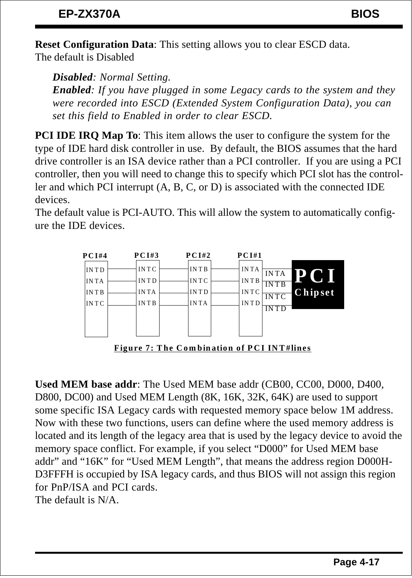**Reset Configuration Data**: This setting allows you to clear ESCD data. The default is Disabled

*Disabled: Normal Setting.*

*Enabled: If you have plugged in some Legacy cards to the system and they were recorded into ESCD (Extended System Configuration Data), you can set this field to Enabled in order to clear ESCD.*

**PCI IDE IRQ Map To:** This item allows the user to configure the system for the type of IDE hard disk controller in use. By default, the BIOS assumes that the hard drive controller is an ISA device rather than a PCI controller. If you are using a PCI controller, then you will need to change this to specify which PCI slot has the controller and which PCI interrupt (A, B, C, or D) is associated with the connected IDE devices.

The default value is PCI-AUTO. This will allow the system to automatically configure the IDE devices.



**Figure 7: The Com bination of PCI INT#lines**

**Used MEM base addr**: The Used MEM base addr (CB00, CC00, D000, D400, D800, DC00) and Used MEM Length (8K, 16K, 32K, 64K) are used to support some specific ISA Legacy cards with requested memory space below 1M address. Now with these two functions, users can define where the used memory address is located and its length of the legacy area that is used by the legacy device to avoid the memory space conflict. For example, if you select "D000" for Used MEM base addr" and "16K" for "Used MEM Length", that means the address region D000H-D3FFFH is occupied by ISA legacy cards, and thus BIOS will not assign this region for PnP/ISA and PCI cards. The default is N/A.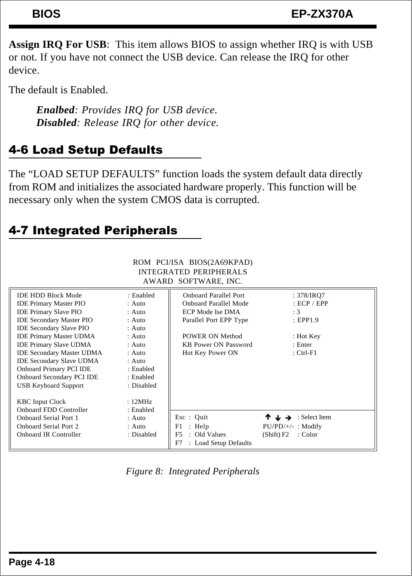**Assign IRQ For USB**: This item allows BIOS to assign whether IRQ is with USB or not. If you have not connect the USB device. Can release the IRQ for other device.

The default is Enabled.

*Enalbed: Provides IRQ for USB device. Disabled: Release IRQ for other device.*

### 4-6 Load Setup Defaults

The "LOAD SETUP DEFAULTS" function loads the system default data directly from ROM and initializes the associated hardware properly. This function will be necessary only when the system CMOS data is corrupted.

| ROM PUJISA BIOS(ZA09KPAD)<br>INTEGRATED PERIPHERALS<br>AWARD SOFTWARE, INC.                                                                                                                                                                                                                                                                                                                                                                                        |                                                                                                                                                    |                                                                                                                                                                                         |                                                                                                  |  |
|--------------------------------------------------------------------------------------------------------------------------------------------------------------------------------------------------------------------------------------------------------------------------------------------------------------------------------------------------------------------------------------------------------------------------------------------------------------------|----------------------------------------------------------------------------------------------------------------------------------------------------|-----------------------------------------------------------------------------------------------------------------------------------------------------------------------------------------|--------------------------------------------------------------------------------------------------|--|
| <b>IDE HDD Block Mode</b><br><b>IDE Primary Master PIO</b><br><b>IDE Primary Slave PIO</b><br><b>IDE Secondary Master PIO</b><br><b>IDE Secondary Slave PIO</b><br><b>IDE Primary Master UDMA</b><br><b>IDE Primary Slave UDMA</b><br><b>IDE Secondary Master UDMA</b><br><b>IDE Secondary Slave UDMA</b><br><b>Onboard Primary PCI IDE</b><br><b>Onboard Secondary PCI IDE</b><br><b>USB Keyboard Support</b><br><b>KBC</b> Input Clock<br>Onboard FDD Controller | : Enabled<br>: Auto<br>: Auto<br>$:$ Auto<br>$:$ Auto<br>$:$ Auto<br>: Auto<br>: Auto<br>: Auto<br>: Enabled<br>: Enabled<br>: Disabled<br>: 12MHz | <b>Onboard Parallel Port</b><br><b>Onboard Parallel Mode</b><br><b>ECP Mode Ise DMA</b><br>Parallel Port EPP Type<br>POWER ON Method<br><b>KB Power ON Password</b><br>Hot Key Power ON | : 378/IRO7<br>ECP / EPP<br>:3<br>: EPP1.9<br>: Hot Key<br>$:$ Enter<br>$:$ Ctrl-F1               |  |
| <b>Onboard Serial Port 1</b><br><b>Onboard Serial Port 2</b><br><b>Onboard IR Controller</b>                                                                                                                                                                                                                                                                                                                                                                       | : Enabled<br>$:$ Auto<br>: Auto<br>: Disabled                                                                                                      | Esc : Quit<br>: Help<br>F1<br>F <sub>5</sub><br>: Old Values<br>F7<br>: Load Setup Defaults                                                                                             | $\uparrow \downarrow \rightarrow$ : Select Item<br>$PU/PD/+/-$ : Modify<br>(Shift) F2<br>: Color |  |

 $R$ 

### 4-7 Integrated Peripherals

*Figure 8: Integrated Peripherals*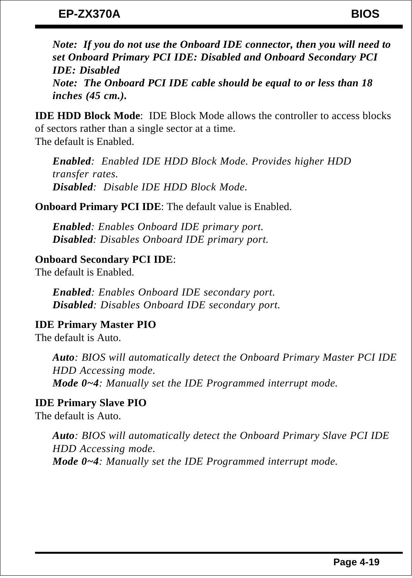*Note: If you do not use the Onboard IDE connector, then you will need to set Onboard Primary PCI IDE: Disabled and Onboard Secondary PCI IDE: Disabled Note: The Onboard PCI IDE cable should be equal to or less than 18 inches (45 cm.).*

**IDE HDD Block Mode**: IDE Block Mode allows the controller to access blocks of sectors rather than a single sector at a time. The default is Enabled.

*Enabled: Enabled IDE HDD Block Mode. Provides higher HDD transfer rates. Disabled: Disable IDE HDD Block Mode.*

**Onboard Primary PCI IDE**: The default value is Enabled.

*Enabled: Enables Onboard IDE primary port. Disabled: Disables Onboard IDE primary port.*

### **Onboard Secondary PCI IDE**:

The default is Enabled.

*Enabled: Enables Onboard IDE secondary port. Disabled: Disables Onboard IDE secondary port.*

**IDE Primary Master PIO** The default is Auto.

> *Auto: BIOS will automatically detect the Onboard Primary Master PCI IDE HDD Accessing mode. Mode 0~4: Manually set the IDE Programmed interrupt mode.*

### **IDE Primary Slave PIO**

The default is Auto.

*Auto: BIOS will automatically detect the Onboard Primary Slave PCI IDE HDD Accessing mode. Mode 0~4: Manually set the IDE Programmed interrupt mode.*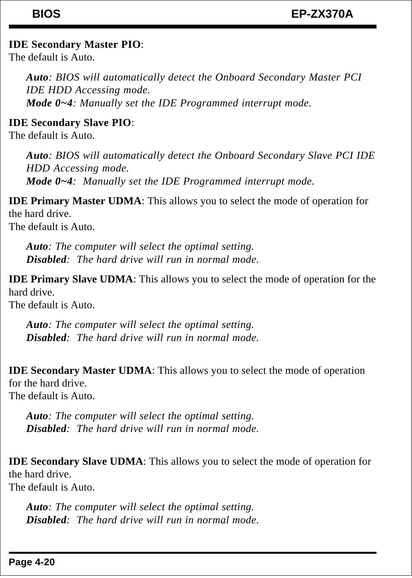### **IDE Secondary Master PIO**:

The default is Auto.

*Auto: BIOS will automatically detect the Onboard Secondary Master PCI IDE HDD Accessing mode. Mode 0~4: Manually set the IDE Programmed interrupt mode.*

### **IDE Secondary Slave PIO**:

The default is Auto.

*Auto: BIOS will automatically detect the Onboard Secondary Slave PCI IDE HDD Accessing mode. Mode 0~4: Manually set the IDE Programmed interrupt mode.*

**IDE Primary Master UDMA**: This allows you to select the mode of operation for the hard drive. The default is Auto.

*Auto: The computer will select the optimal setting. Disabled: The hard drive will run in normal mode.*

**IDE Primary Slave UDMA**: This allows you to select the mode of operation for the hard drive.

The default is Auto.

*Auto: The computer will select the optimal setting. Disabled: The hard drive will run in normal mode.*

**IDE Secondary Master UDMA**: This allows you to select the mode of operation for the hard drive. The default is Auto.

*Auto: The computer will select the optimal setting. Disabled: The hard drive will run in normal mode.*

**IDE Secondary Slave UDMA**: This allows you to select the mode of operation for the hard drive.

The default is Auto.

*Auto: The computer will select the optimal setting. Disabled: The hard drive will run in normal mode.*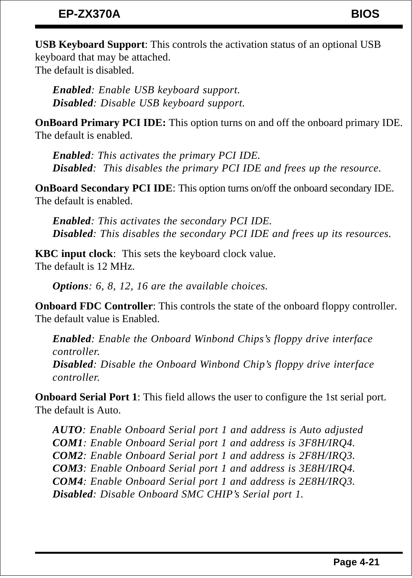**USB Keyboard Support**: This controls the activation status of an optional USB keyboard that may be attached.

The default is disabled.

*Enabled: Enable USB keyboard support. Disabled: Disable USB keyboard support.*

**OnBoard Primary PCI IDE:** This option turns on and off the onboard primary IDE. The default is enabled.

*Enabled: This activates the primary PCI IDE. Disabled: This disables the primary PCI IDE and frees up the resource.*

**OnBoard Secondary PCI IDE**: This option turns on/off the onboard secondary IDE. The default is enabled.

*Enabled: This activates the secondary PCI IDE. Disabled: This disables the secondary PCI IDE and frees up its resources.*

**KBC input clock**: This sets the keyboard clock value. The default is 12 MHz.

*Options: 6, 8, 12, 16 are the available choices.*

**Onboard FDC Controller:** This controls the state of the onboard floppy controller. The default value is Enabled.

*Enabled: Enable the Onboard Winbond Chips's floppy drive interface controller. Disabled: Disable the Onboard Winbond Chip's floppy drive interface controller.*

**Onboard Serial Port 1**: This field allows the user to configure the 1st serial port. The default is Auto.

*AUTO: Enable Onboard Serial port 1 and address is Auto adjusted COM1: Enable Onboard Serial port 1 and address is 3F8H/IRQ4. COM2: Enable Onboard Serial port 1 and address is 2F8H/IRQ3. COM3: Enable Onboard Serial port 1 and address is 3E8H/IRQ4. COM4: Enable Onboard Serial port 1 and address is 2E8H/IRQ3. Disabled: Disable Onboard SMC CHIP's Serial port 1.*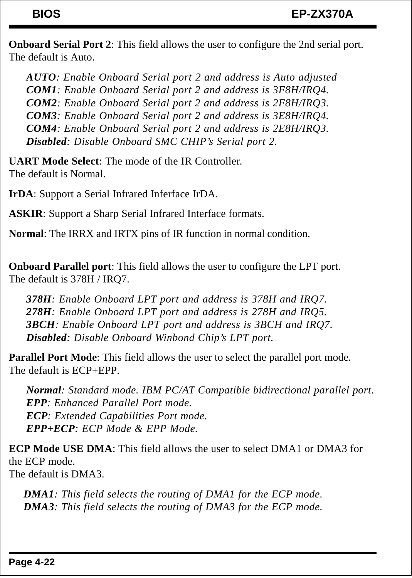**Onboard Serial Port 2**: This field allows the user to configure the 2nd serial port. The default is Auto.

*AUTO: Enable Onboard Serial port 2 and address is Auto adjusted COM1: Enable Onboard Serial port 2 and address is 3F8H/IRQ4. COM2: Enable Onboard Serial port 2 and address is 2F8H/IRQ3. COM3: Enable Onboard Serial port 2 and address is 3E8H/IRQ4. COM4: Enable Onboard Serial port 2 and address is 2E8H/IRQ3. Disabled: Disable Onboard SMC CHIP's Serial port 2.*

**UART Mode Select**: The mode of the IR Controller. The default is Normal.

**IrDA**: Support a Serial Infrared Inferface IrDA.

**ASKIR**: Support a Sharp Serial Infrared Interface formats.

**Normal**: The IRRX and IRTX pins of IR function in normal condition.

**Onboard Parallel port**: This field allows the user to configure the LPT port. The default is 378H / IRQ7.

*378H: Enable Onboard LPT port and address is 378H and IRQ7. 278H: Enable Onboard LPT port and address is 278H and IRQ5. 3BCH: Enable Onboard LPT port and address is 3BCH and IRQ7. Disabled: Disable Onboard Winbond Chip's LPT port.*

**Parallel Port Mode**: This field allows the user to select the parallel port mode. The default is ECP+EPP.

*Normal: Standard mode. IBM PC/AT Compatible bidirectional parallel port. EPP: Enhanced Parallel Port mode. ECP: Extended Capabilities Port mode. EPP+ECP: ECP Mode & EPP Mode.*

**ECP Mode USE DMA**: This field allows the user to select DMA1 or DMA3 for the ECP mode. The default is DMA3.

*DMA1: This field selects the routing of DMA1 for the ECP mode. DMA3: This field selects the routing of DMA3 for the ECP mode.*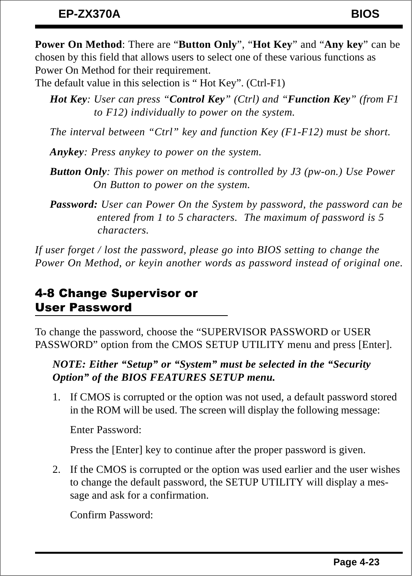**Power On Method**: There are "**Button Only**", "**Hot Key**" and "**Any key**" can be chosen by this field that allows users to select one of these various functions as Power On Method for their requirement.

The default value in this selection is " Hot Key". (Ctrl-F1)

*Hot Key: User can press "Control Key" (Ctrl) and "Function Key" (from F1 to F12) individually to power on the system.*

*The interval between "Ctrl" key and function Key (F1-F12) must be short.*

*Anykey: Press anykey to power on the system.*

*Button Only: This power on method is controlled by J3 (pw-on.) Use Power On Button to power on the system.*

*Password: User can Power On the System by password, the password can be entered from 1 to 5 characters. The maximum of password is 5 characters.*

*If user forget / lost the password, please go into BIOS setting to change the Power On Method, or keyin another words as password instead of original one.*

### 4-8 Change Supervisor or User Password

To change the password, choose the "SUPERVISOR PASSWORD or USER PASSWORD" option from the CMOS SETUP UTILITY menu and press [Enter].

*NOTE: Either "Setup" or "System" must be selected in the "Security Option" of the BIOS FEATURES SETUP menu.*

1. If CMOS is corrupted or the option was not used, a default password stored in the ROM will be used. The screen will display the following message:

Enter Password:

Press the [Enter] key to continue after the proper password is given.

2. If the CMOS is corrupted or the option was used earlier and the user wishes to change the default password, the SETUP UTILITY will display a message and ask for a confirmation.

Confirm Password: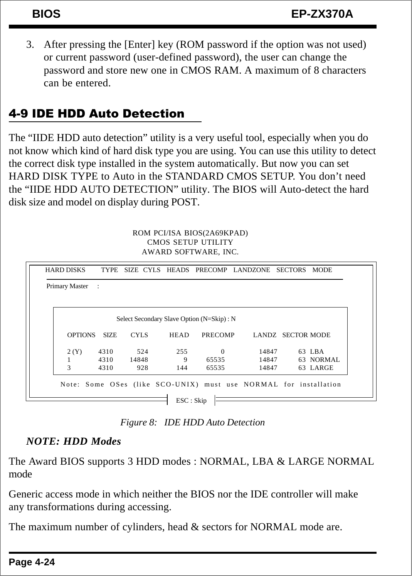3. After pressing the [Enter] key (ROM password if the option was not used) or current password (user-defined password), the user can change the password and store new one in CMOS RAM. A maximum of 8 characters can be entered.

### 4-9 IDE HDD Auto Detection

The "IIDE HDD auto detection" utility is a very useful tool, especially when you do not know which kind of hard disk type you are using. You can use this utility to detect the correct disk type installed in the system automatically. But now you can set HARD DISK TYPE to Auto in the STANDARD CMOS SETUP. You don't need the "IIDE HDD AUTO DETECTION" utility. The BIOS will Auto-detect the hard disk size and model on display during POST.

> ROM PCI/ISA BIOS(2A69KPAD) CMOS SETUP UTILITY AWARD SOFTWARE, INC.

|                |             |       |             | Select Secondary Slave Option (N=Skip) : N |       |                   |           |
|----------------|-------------|-------|-------------|--------------------------------------------|-------|-------------------|-----------|
| <b>OPTIONS</b> | <b>SIZE</b> | CYLS. | <b>HEAD</b> | <b>PRECOMP</b>                             |       | LANDZ SECTOR MODE |           |
| 2(Y)           | 4310        | 524   | 255         | $\Omega$                                   | 14847 |                   | 63 LBA    |
|                | 4310        | 14848 | 9           | 65535                                      | 14847 |                   | 63 NORMAL |
| 3              | 4310        | 928   | 144         | 65535                                      | 14847 |                   | 63 LARGE  |

*Figure 8: IDE HDD Auto Detection*

### *NOTE: HDD Modes*

The Award BIOS supports 3 HDD modes : NORMAL, LBA & LARGE NORMAL mode

Generic access mode in which neither the BIOS nor the IDE controller will make any transformations during accessing.

The maximum number of cylinders, head & sectors for NORMAL mode are.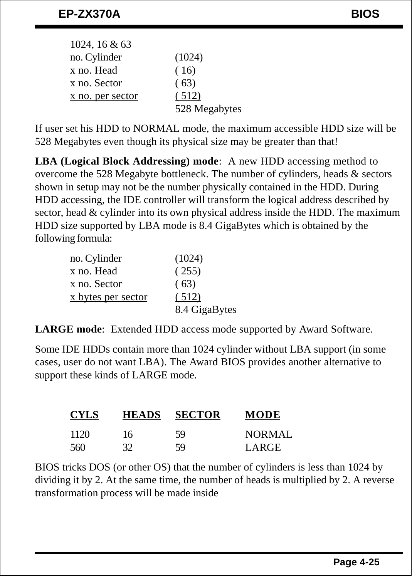| 1024, 16 $& 63$  |               |
|------------------|---------------|
| no. Cylinder     | (1024)        |
| x no. Head       | (16)          |
| x no. Sector     | (63)          |
| x no. per sector | (512)         |
|                  | 528 Megabytes |

If user set his HDD to NORMAL mode, the maximum accessible HDD size will be 528 Megabytes even though its physical size may be greater than that!

**LBA (Logical Block Addressing) mode**: A new HDD accessing method to overcome the 528 Megabyte bottleneck. The number of cylinders, heads & sectors shown in setup may not be the number physically contained in the HDD. During HDD accessing, the IDE controller will transform the logical address described by sector, head & cylinder into its own physical address inside the HDD. The maximum HDD size supported by LBA mode is 8.4 GigaBytes which is obtained by the following formula:

| (1024)        |
|---------------|
| (255)         |
| (63)          |
| (512)         |
| 8.4 GigaBytes |
|               |

**LARGE mode**: Extended HDD access mode supported by Award Software.

Some IDE HDDs contain more than 1024 cylinder without LBA support (in some cases, user do not want LBA). The Award BIOS provides another alternative to support these kinds of LARGE mode.

| <b>CYLS</b> | <b>HEADS</b> | <b>SECTOR</b> | <b>MODE</b> |
|-------------|--------------|---------------|-------------|
| 1120        | 16           | 59            | NORMAL      |
| 560         | 32.          | 59            | LARGE       |

BIOS tricks DOS (or other OS) that the number of cylinders is less than 1024 by dividing it by 2. At the same time, the number of heads is multiplied by 2. A reverse transformation process will be made inside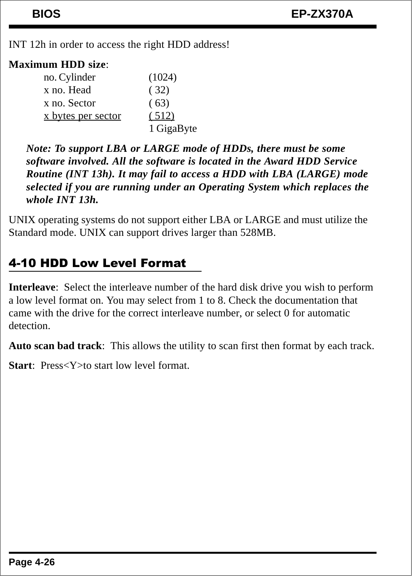INT 12h in order to access the right HDD address!

### **Maximum HDD size**:

| no. Cylinder       | (1024)     |
|--------------------|------------|
| x no. Head         | (32)       |
| x no. Sector       | (63)       |
| x bytes per sector | (512)      |
|                    | 1 GigaByte |

*Note: To support LBA or LARGE mode of HDDs, there must be some software involved. All the software is located in the Award HDD Service Routine (INT 13h). It may fail to access a HDD with LBA (LARGE) mode selected if you are running under an Operating System which replaces the whole INT 13h.*

UNIX operating systems do not support either LBA or LARGE and must utilize the Standard mode. UNIX can support drives larger than 528MB.

# 4-10 HDD Low Level Format

**Interleave**: Select the interleave number of the hard disk drive you wish to perform a low level format on. You may select from 1 to 8. Check the documentation that came with the drive for the correct interleave number, or select 0 for automatic detection.

**Auto scan bad track**: This allows the utility to scan first then format by each track.

**Start:** Press<Y>to start low level format.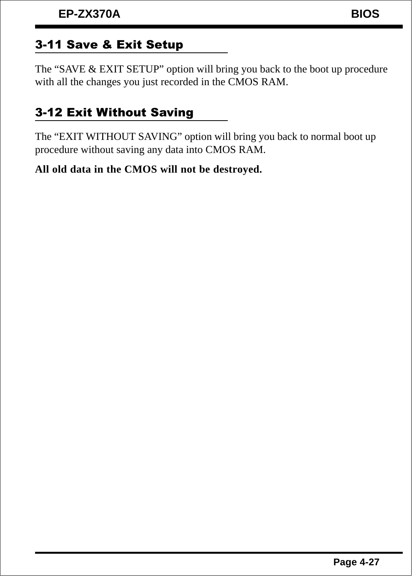## 3-11 Save & Exit Setup

The "SAVE & EXIT SETUP" option will bring you back to the boot up procedure with all the changes you just recorded in the CMOS RAM.

### 3-12 Exit Without Saving

The "EXIT WITHOUT SAVING" option will bring you back to normal boot up procedure without saving any data into CMOS RAM.

### **All old data in the CMOS will not be destroyed.**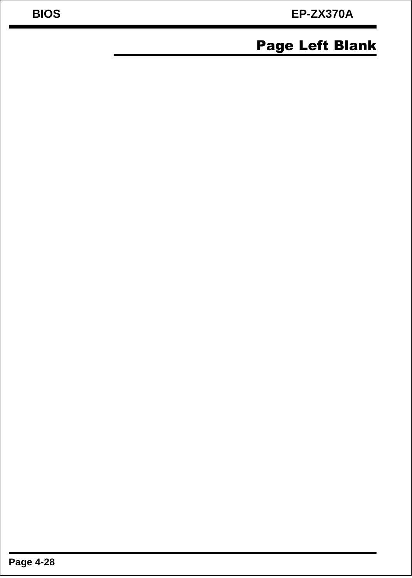# Page Left Blank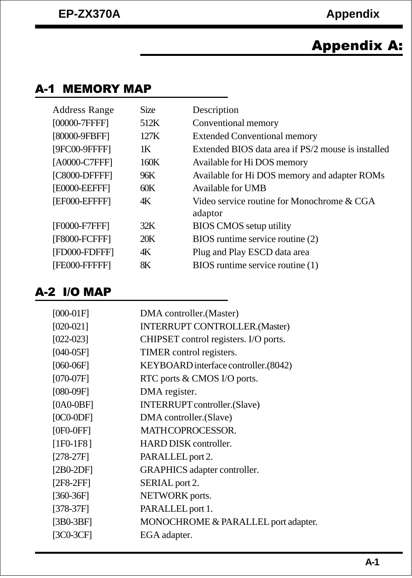# Appendix A:

### A-1 MEMORY MAP

| <b>Address Range</b> | <b>Size</b> | Description                                           |
|----------------------|-------------|-------------------------------------------------------|
| [00000-7FFFF]        | 512K        | Conventional memory                                   |
| [80000-9FBFF]        | 127K        | <b>Extended Conventional memory</b>                   |
| [9FC00-9FFFF]        | 1Κ          | Extended BIOS data area if PS/2 mouse is installed    |
| [A0000-C7FFF]        | 160K        | Available for Hi DOS memory                           |
| [C8000-DFFFF]        | 96K         | Available for Hi DOS memory and adapter ROMs          |
| [E0000-EEFFF]        | 60K         | Available for UMB                                     |
| <b>[EF000-EFFFF]</b> | 4K          | Video service routine for Monochrome & CGA<br>adaptor |
| [F0000-F7FFF]        | 32K         | <b>BIOS CMOS</b> setup utility                        |
| [F8000-FCFFF]        | 20K         | BIOS runtime service routine (2)                      |
| [FD000-FDFFF]        | 4K          | Plug and Play ESCD data area                          |
| <b>IFE000-FFFFFI</b> | 8K          | BIOS runtime service routine (1)                      |

### A-2 I/O MAP

| $[000-01$ Fl | DMA controller. (Master)              |  |
|--------------|---------------------------------------|--|
| $[020-021]$  | <b>INTERRUPT CONTROLLER.</b> (Master) |  |
| $[022-023]$  | CHIPSET control registers. I/O ports. |  |
| $[040-05F]$  | TIMER control registers.              |  |
| $[060-06F]$  | KEYBOARD interface controller. (8042) |  |
| $[070-07F]$  | RTC ports & CMOS I/O ports.           |  |
| $[080-09F]$  | DMA register.                         |  |
| $[0A0-0BF]$  | INTERRUPT controller. (Slave)         |  |
| $[0C0-0DF]$  | DMA controller. (Slave)               |  |
| $[0F0-0FF]$  | <b>MATHCOPROCESSOR.</b>               |  |
| $[1F0-1F8]$  | HARD DISK controller.                 |  |
| $[278-27F]$  | PARALLEL port 2.                      |  |
| $[2B0-2DF]$  | GRAPHICS adapter controller.          |  |
| $[2F8-2FF]$  | SERIAL port 2.                        |  |
| $[360-36F]$  | NETWORK ports.                        |  |
| $[378-37F]$  | PARALLEL port 1.                      |  |
| $[3B0-3BF]$  | MONOCHROME & PARALLEL port adapter.   |  |
| [3C0-3CF]    | EGA adapter.                          |  |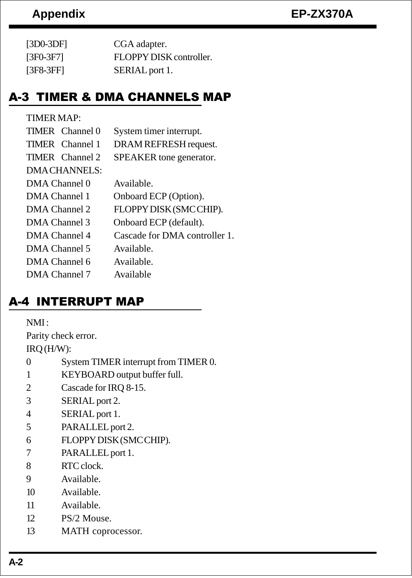| $[3D0-3DF]$ | CGA adapter.            |
|-------------|-------------------------|
| $[3F0-3F7]$ | FLOPPY DISK controller. |
| $[3F8-3FF]$ | SERIAL port 1.          |

### A-3 TIMER & DMA CHANNELS MAP

| <b>TIMER MAP:</b>      |                               |
|------------------------|-------------------------------|
| TIMER Channel 0        | System timer interrupt.       |
| <b>TIMER</b> Channel 1 | DRAM REFRESH request.         |
| <b>TIMER</b> Channel 2 | SPEAKER tone generator.       |
| DMA CHANNELS:          |                               |
| DMA Channel 0          | Available.                    |
| DMA Channel 1          | Onboard ECP (Option).         |
| DMA Channel 2          | FLOPPY DISK (SMCCHIP).        |
| DMA Channel 3          | Onboard ECP (default).        |
| DMA Channel 4          | Cascade for DMA controller 1. |
| DMA Channel 5          | Available.                    |
| DMA Channel 6          | Available.                    |
| DMA Channel 7          | Available                     |
|                        |                               |

### A-4 INTERRUPT MAP

NMI :

Parity check error.

IRQ (H/W):

- 0 System TIMER interrupt from TIMER 0.
- 1 KEYBOARD output buffer full.
- 2 Cascade for IRQ 8-15.
- 3 SERIAL port 2.
- 4 SERIAL port 1.
- 5 PARALLEL port 2.
- 6 FLOPPY DISK (SMC CHIP).
- 7 PARALLEL port 1.
- 8 RTC clock.
- 9 Available.
- 10 Available.
- 11 Available.
- 12 PS/2 Mouse.
- 13 MATH coprocessor.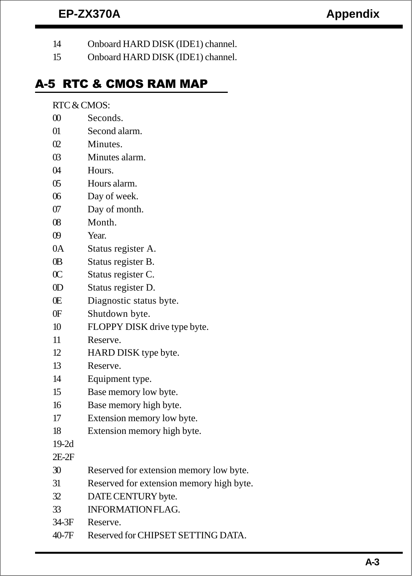- 14 Onboard HARD DISK (IDE1) channel.
- 15 Onboard HARD DISK (IDE1) channel.

### A-5 RTC & CMOS RAM MAP

RTC & CMOS:

- 00 Seconds.
- 01 Second alarm.
- 02 Minutes.
- 03 Minutes alarm.
- 04 Hours.
- 05 Hours alarm.
- 06 Day of week.
- 07 Day of month.
- 08 Month.
- 09 Year.
- 0A Status register A.
- 0B Status register B.
- 0C Status register C.
- 0D Status register D.
- 0E Diagnostic status byte.
- 0F Shutdown byte.
- 10 FLOPPY DISK drive type byte.
- 11 Reserve.
- 12 HARD DISK type byte.
- 13 Reserve.
- 14 Equipment type.
- 15 Base memory low byte.
- 16 Base memory high byte.
- 17 Extension memory low byte.
- 18 Extension memory high byte.
- 19-2d

2E-2F

- 30 Reserved for extension memory low byte.
- 31 Reserved for extension memory high byte.
- 32 DATE CENTURY byte.
- 33 INFORMATION FLAG.
- 34-3F Reserve.
- 40-7F Reserved for CHIPSET SETTING DATA.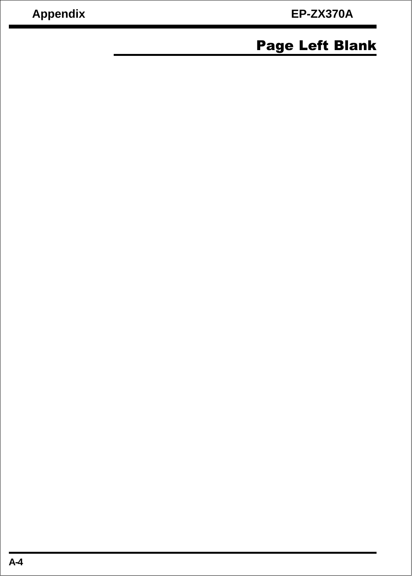# Page Left Blank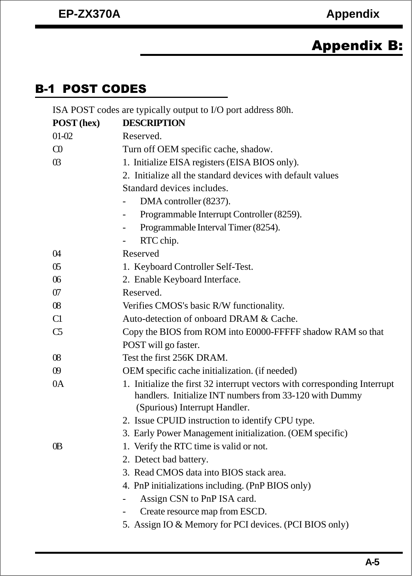# Appendix B:

### B-1 POST CODES

|                    | ISA POST codes are typically output to I/O port address 80h.                                                                                                          |
|--------------------|-----------------------------------------------------------------------------------------------------------------------------------------------------------------------|
| POST (hex)         | <b>DESCRIPTION</b>                                                                                                                                                    |
| 01-02              | Reserved.                                                                                                                                                             |
| $\Omega$           | Turn off OEM specific cache, shadow.                                                                                                                                  |
| $\boldsymbol{0}$ 3 | 1. Initialize EISA registers (EISA BIOS only).                                                                                                                        |
|                    | 2. Initialize all the standard devices with default values                                                                                                            |
|                    | Standard devices includes.                                                                                                                                            |
|                    | DMA controller (8237).                                                                                                                                                |
|                    | Programmable Interrupt Controller (8259).<br>$\overline{a}$                                                                                                           |
|                    | Programmable Interval Timer (8254).<br>$\overline{\phantom{0}}$                                                                                                       |
|                    | RTC chip.<br>ä,                                                                                                                                                       |
| 04                 | Reserved                                                                                                                                                              |
| 05                 | 1. Keyboard Controller Self-Test.                                                                                                                                     |
| 06                 | 2. Enable Keyboard Interface.                                                                                                                                         |
| 07                 | Reserved.                                                                                                                                                             |
| 08                 | Verifies CMOS's basic R/W functionality.                                                                                                                              |
| C1                 | Auto-detection of onboard DRAM & Cache.                                                                                                                               |
| C5                 | Copy the BIOS from ROM into E0000-FFFFF shadow RAM so that                                                                                                            |
|                    | POST will go faster.                                                                                                                                                  |
| 08                 | Test the first 256K DRAM.                                                                                                                                             |
| 09                 | OEM specific cache initialization. (if needed)                                                                                                                        |
| 0A                 | 1. Initialize the first 32 interrupt vectors with corresponding Interrupt<br>handlers. Initialize INT numbers from 33-120 with Dummy<br>(Spurious) Interrupt Handler. |
|                    | 2. Issue CPUID instruction to identify CPU type.                                                                                                                      |
|                    | 3. Early Power Management initialization. (OEM specific)                                                                                                              |
| <b>OB</b>          | 1. Verify the RTC time is valid or not.                                                                                                                               |
|                    | 2. Detect bad battery.                                                                                                                                                |
|                    | 3. Read CMOS data into BIOS stack area.                                                                                                                               |
|                    | 4. PnP initializations including. (PnP BIOS only)                                                                                                                     |
|                    | Assign CSN to PnP ISA card.<br>$\overline{\phantom{0}}$                                                                                                               |
|                    | Create resource map from ESCD.                                                                                                                                        |
|                    | 5. Assign IO & Memory for PCI devices. (PCI BIOS only)                                                                                                                |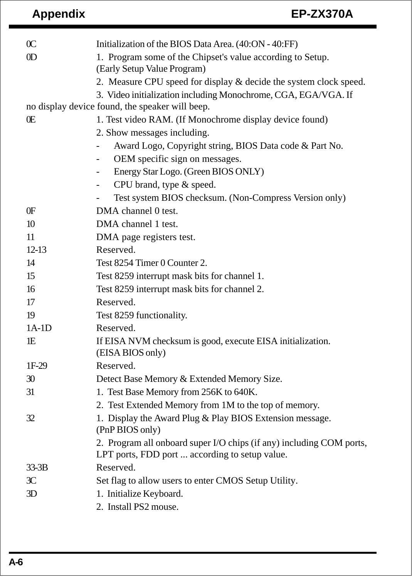| $\alpha$       | Initialization of the BIOS Data Area. (40:ON - 40:FF)                                                                  |  |
|----------------|------------------------------------------------------------------------------------------------------------------------|--|
| 0D             | 1. Program some of the Chipset's value according to Setup.                                                             |  |
|                | (Early Setup Value Program)                                                                                            |  |
|                | 2. Measure CPU speed for display & decide the system clock speed.                                                      |  |
|                | 3. Video initialization including Monochrome, CGA, EGA/VGA. If                                                         |  |
|                | no display device found, the speaker will beep.                                                                        |  |
| Œ              | 1. Test video RAM. (If Monochrome display device found)                                                                |  |
|                | 2. Show messages including.                                                                                            |  |
|                | Award Logo, Copyright string, BIOS Data code & Part No.                                                                |  |
|                | OEM specific sign on messages.<br>$\blacksquare$                                                                       |  |
|                | Energy Star Logo. (Green BIOS ONLY)<br>$\overline{\phantom{a}}$                                                        |  |
|                | CPU brand, type & speed.<br>$\overline{\phantom{a}}$                                                                   |  |
|                | Test system BIOS checksum. (Non-Compress Version only)                                                                 |  |
| 0 <sup>F</sup> | DMA channel 0 test.                                                                                                    |  |
| 10             | DMA channel 1 test.                                                                                                    |  |
| 11             | DMA page registers test.                                                                                               |  |
| $12 - 13$      | Reserved.                                                                                                              |  |
| 14             | Test 8254 Timer 0 Counter 2.                                                                                           |  |
| 15             | Test 8259 interrupt mask bits for channel 1.                                                                           |  |
| 16             | Test 8259 interrupt mask bits for channel 2.                                                                           |  |
| 17             | Reserved.                                                                                                              |  |
| 19             | Test 8259 functionality.                                                                                               |  |
| $1A-1D$        | Reserved.                                                                                                              |  |
| 1E             | If EISA NVM checksum is good, execute EISA initialization.                                                             |  |
|                | (EISA BIOS only)                                                                                                       |  |
| 1F-29          | Reserved.                                                                                                              |  |
| 30             | Detect Base Memory & Extended Memory Size.                                                                             |  |
| 31             | 1. Test Base Memory from 256K to 640K.                                                                                 |  |
|                | 2. Test Extended Memory from 1M to the top of memory.                                                                  |  |
| 32             | 1. Display the Award Plug & Play BIOS Extension message.<br>(PnP BIOS only)                                            |  |
|                | 2. Program all onboard super I/O chips (if any) including COM ports,<br>LPT ports, FDD port  according to setup value. |  |
| $33-3B$        | Reserved.                                                                                                              |  |
| 3C             | Set flag to allow users to enter CMOS Setup Utility.                                                                   |  |
| 3D             | 1. Initialize Keyboard.                                                                                                |  |
|                | 2. Install PS2 mouse.                                                                                                  |  |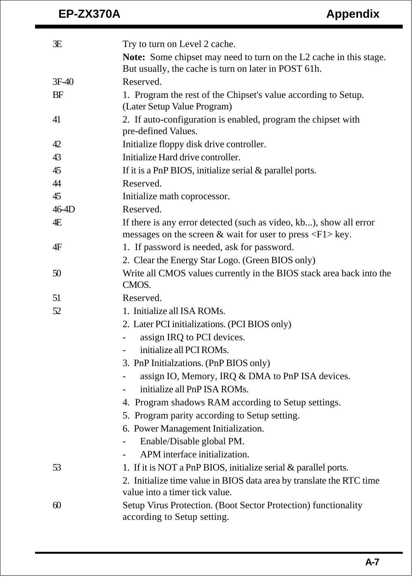| 3E    | Try to turn on Level 2 cache.                                                                                                           |
|-------|-----------------------------------------------------------------------------------------------------------------------------------------|
|       | Note: Some chipset may need to turn on the L2 cache in this stage.                                                                      |
|       | But usually, the cache is turn on later in POST 61h.                                                                                    |
| 3F-40 | Reserved.                                                                                                                               |
| BF    | 1. Program the rest of the Chipset's value according to Setup.<br>(Later Setup Value Program)                                           |
| 41    | 2. If auto-configuration is enabled, program the chipset with<br>pre-defined Values.                                                    |
| 42    | Initialize floppy disk drive controller.                                                                                                |
| 43    | Initialize Hard drive controller.                                                                                                       |
| 45    | If it is a PnP BIOS, initialize serial $&$ parallel ports.                                                                              |
| 44    | Reserved.                                                                                                                               |
| 45    | Initialize math coprocessor.                                                                                                            |
| 46-4D | Reserved.                                                                                                                               |
| 4E    | If there is any error detected (such as video, kb), show all error<br>messages on the screen $\&$ wait for user to press <f1> key.</f1> |
| 4F    | 1. If password is needed, ask for password.                                                                                             |
|       | 2. Clear the Energy Star Logo. (Green BIOS only)                                                                                        |
| 50    | Write all CMOS values currently in the BIOS stack area back into the<br>CMOS.                                                           |
| 51    | Reserved.                                                                                                                               |
| 52    | 1. Initialize all ISA ROMs.                                                                                                             |
|       | 2. Later PCI initializations. (PCI BIOS only)                                                                                           |
|       | assign IRQ to PCI devices.<br>$\overline{\phantom{0}}$                                                                                  |
|       | initialize all PCI ROMs.                                                                                                                |
|       | 3. PnP Initialzations. (PnP BIOS only)                                                                                                  |
|       | assign IO, Memory, IRQ & DMA to PnP ISA devices.                                                                                        |
|       | initialize all PnP ISA ROMs.                                                                                                            |
|       | 4. Program shadows RAM according to Setup settings.                                                                                     |
|       | 5. Program parity according to Setup setting.                                                                                           |
|       | 6. Power Management Initialization.                                                                                                     |
|       | Enable/Disable global PM.<br>-                                                                                                          |
|       | APM interface initialization.                                                                                                           |
| 53    | 1. If it is NOT a PnP BIOS, initialize serial & parallel ports.                                                                         |
|       | 2. Initialize time value in BIOS data area by translate the RTC time<br>value into a timer tick value.                                  |
| 60    | Setup Virus Protection. (Boot Sector Protection) functionality<br>according to Setup setting.                                           |
|       |                                                                                                                                         |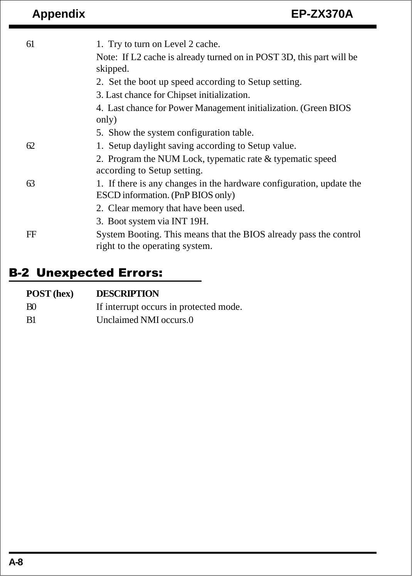| <b>Appendix</b> | <b>EP-ZX370A</b>                                                                                          |
|-----------------|-----------------------------------------------------------------------------------------------------------|
| 61              | 1. Try to turn on Level 2 cache.                                                                          |
|                 | Note: If L2 cache is already turned on in POST 3D, this part will be<br>skipped.                          |
|                 | 2. Set the boot up speed according to Setup setting.                                                      |
|                 | 3. Last chance for Chipset initialization.                                                                |
|                 | 4. Last chance for Power Management initialization. (Green BIOS<br>only)                                  |
|                 | 5. Show the system configuration table.                                                                   |
| 62              | 1. Setup daylight saving according to Setup value.                                                        |
|                 | 2. Program the NUM Lock, typematic rate & typematic speed<br>according to Setup setting.                  |
| 63              | 1. If there is any changes in the hardware configuration, update the<br>ESCD information. (PnP BIOS only) |
|                 | 2. Clear memory that have been used.                                                                      |
|                 | 3. Boot system via INT 19H.                                                                               |
| FF              | System Booting. This means that the BIOS already pass the control<br>right to the operating system.       |

# B-2 Unexpected Errors:

| POST (hex) | <b>DESCRIPTION</b>                     |  |
|------------|----------------------------------------|--|
| BO.        | If interrupt occurs in protected mode. |  |
| B1         | Unclaimed NMI occurs.0                 |  |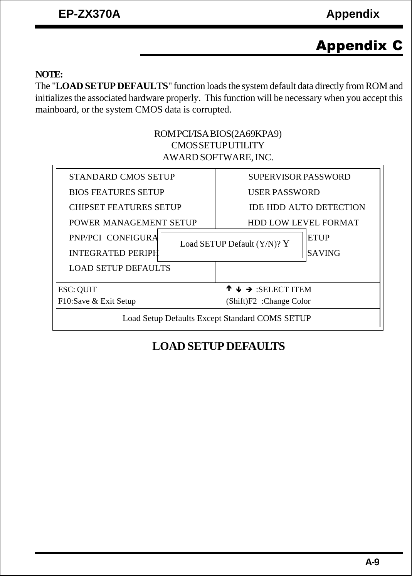# Appendix C

### **NOTE:**

The "**LOAD SETUP DEFAULTS**" function loads the system default data directly from ROM and initializes the associated hardware properly. This function will be necessary when you accept this mainboard, or the system CMOS data is corrupted.

### ROM PCI/ISA BIOS(2A69KPA9) CMOS SETUP UTILITY AWARD SOFTWARE, INC.

| STANDARD CMOS SETUP                            | SUPERVISOR PASSWORD                        |  |
|------------------------------------------------|--------------------------------------------|--|
| <b>BIOS FEATURES SETUP</b>                     | <b>USER PASSWORD</b>                       |  |
| <b>CHIPSET FEATURES SETUP</b>                  | <b>IDE HDD AUTO DETECTION</b>              |  |
| POWER MANAGEMENT SETUP                         | <b>HDD LOW LEVEL FORMAT</b>                |  |
| PNP/PCI CONFIGURA                              | <b>ETUP</b><br>Load SETUP Default (Y/N)? Y |  |
| <b>INTEGRATED PERIPH</b>                       | <b>SAVING</b>                              |  |
| <b>LOAD SETUP DEFAULTS</b>                     |                                            |  |
| <b>ESC: QUIT</b>                               | $\downarrow$ $\rightarrow$ :SELECT ITEM    |  |
| F10:Save & Exit Setup                          | (Shift)F2 :Change Color                    |  |
| Load Setup Defaults Except Standard COMS SETUP |                                            |  |

### **LOAD SETUP DEFAULTS**